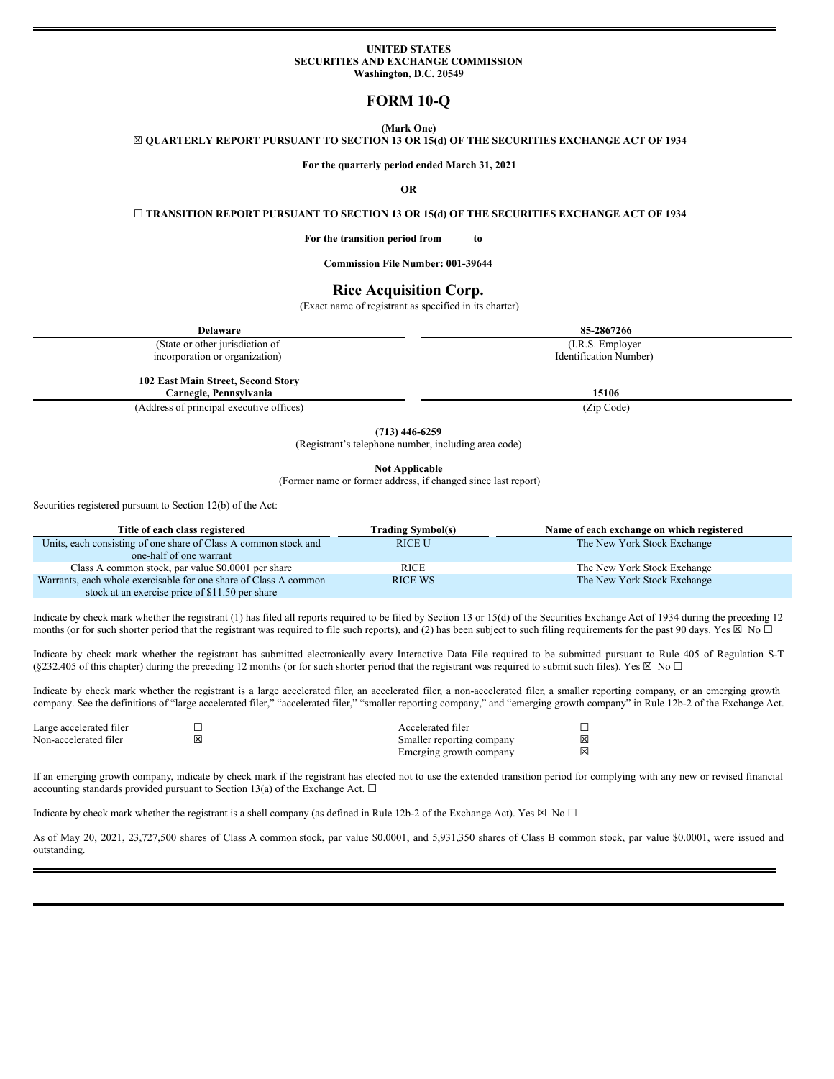### **UNITED STATES SECURITIES AND EXCHANGE COMMISSION Washington, D.C. 20549**

# **FORM 10-Q**

**(Mark One)**

☒ **QUARTERLY REPORT PURSUANT TO SECTION 13 OR 15(d) OF THE SECURITIES EXCHANGE ACT OF 1934**

**For the quarterly period ended March 31, 2021**

#### **OR**

☐ **TRANSITION REPORT PURSUANT TO SECTION 13 OR 15(d) OF THE SECURITIES EXCHANGE ACT OF 1934**

**For the transition period from to**

**Commission File Number: 001-39644**

## **Rice Acquisition Corp.**

(Exact name of registrant as specified in its charter)

| <b>Delaware</b>                          | 85-2867266             |  |  |  |  |
|------------------------------------------|------------------------|--|--|--|--|
| (State or other jurisdiction of          | (I.R.S. Employer)      |  |  |  |  |
| incorporation or organization)           | Identification Number) |  |  |  |  |
| 102 East Main Street, Second Story       |                        |  |  |  |  |
| Carnegie, Pennsylvania                   | 15106                  |  |  |  |  |
| (Address of principal executive offices) | (Zip Code)             |  |  |  |  |
| $(713)$ 446-6259                         |                        |  |  |  |  |

(Registrant's telephone number, including area code)

**Not Applicable**

(Former name or former address, if changed since last report)

Securities registered pursuant to Section 12(b) of the Act:

| Title of each class registered                                   | <b>Trading Symbol(s)</b> | Name of each exchange on which registered |
|------------------------------------------------------------------|--------------------------|-------------------------------------------|
| Units, each consisting of one share of Class A common stock and  | <b>RICE U</b>            | The New York Stock Exchange               |
| one-half of one warrant                                          |                          |                                           |
| Class A common stock, par value \$0.0001 per share               | <b>RICE</b>              | The New York Stock Exchange               |
| Warrants, each whole exercisable for one share of Class A common | <b>RICE WS</b>           | The New York Stock Exchange               |
| stock at an exercise price of \$11.50 per share                  |                          |                                           |

Indicate by check mark whether the registrant (1) has filed all reports required to be filed by Section 13 or 15(d) of the Securities Exchange Act of 1934 during the preceding 12 months (or for such shorter period that the registrant was required to file such reports), and (2) has been subject to such filing requirements for the past 90 days. Yes  $\boxtimes$  No  $\Box$ 

Indicate by check mark whether the registrant has submitted electronically every Interactive Data File required to be submitted pursuant to Rule 405 of Regulation S-T (§232.405 of this chapter) during the preceding 12 months (or for such shorter period that the registrant was required to submit such files). Yes  $\boxtimes$  No  $\Box$ 

Indicate by check mark whether the registrant is a large accelerated filer, an accelerated filer, a non-accelerated filer, a smaller reporting company, or an emerging growth company. See the definitions of "large accelerated filer," "accelerated filer," "smaller reporting company," and "emerging growth company" in Rule 12b-2 of the Exchange Act.

| Large accelerated filer |   | Accelerated filer         |   |
|-------------------------|---|---------------------------|---|
| Non-accelerated filer   | × | Smaller reporting company | 冈 |
|                         |   | Emerging growth company   | ⊠ |

If an emerging growth company, indicate by check mark if the registrant has elected not to use the extended transition period for complying with any new or revised financial accounting standards provided pursuant to Section 13(a) of the Exchange Act.  $\Box$ 

Indicate by check mark whether the registrant is a shell company (as defined in Rule 12b-2 of the Exchange Act). Yes  $\boxtimes$  No  $\Box$ 

As of May 20, 2021, 23,727,500 shares of Class A common stock, par value \$0.0001, and 5,931,350 shares of Class B common stock, par value \$0.0001, were issued and outstanding.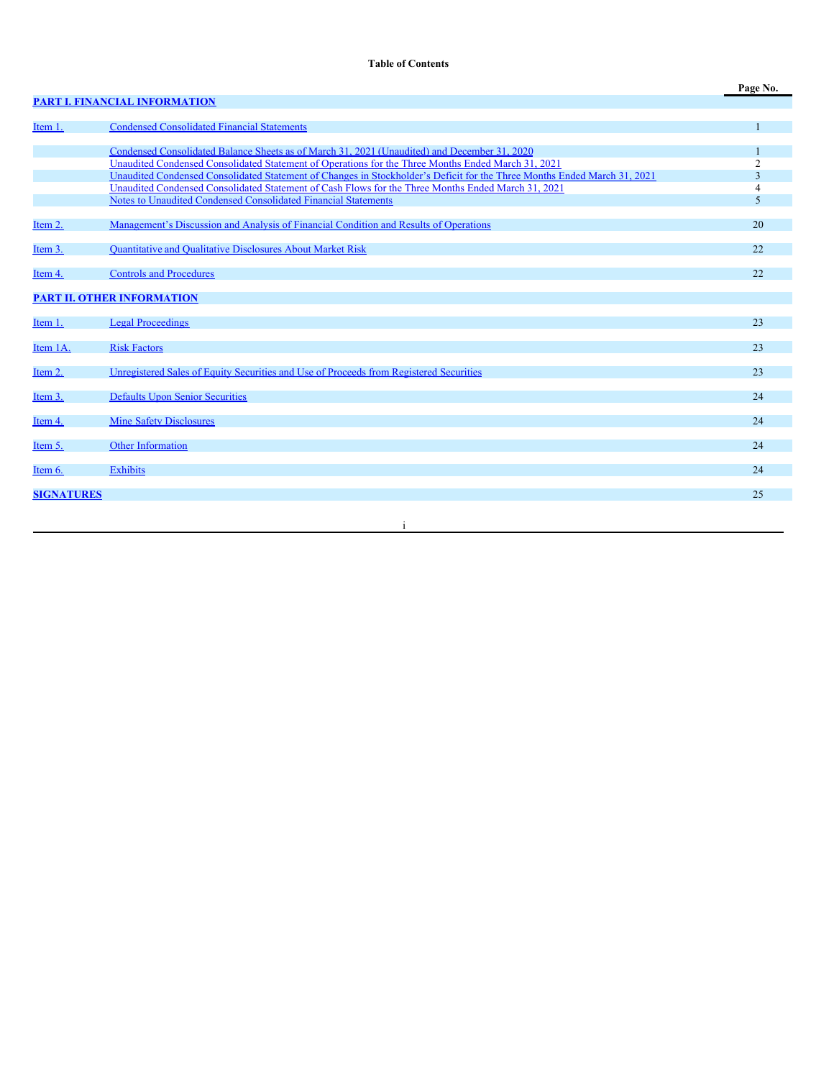## **Table of Contents**

|                   |                                                                                                                          | Page No. |
|-------------------|--------------------------------------------------------------------------------------------------------------------------|----------|
|                   | <b>PART I. FINANCIAL INFORMATION</b>                                                                                     |          |
|                   |                                                                                                                          |          |
| Item 1.           | <b>Condensed Consolidated Financial Statements</b>                                                                       |          |
|                   | Condensed Consolidated Balance Sheets as of March 31, 2021 (Unaudited) and December 31, 2020                             |          |
|                   | Unaudited Condensed Consolidated Statement of Operations for the Three Months Ended March 31, 2021                       | 2        |
|                   | Unaudited Condensed Consolidated Statement of Changes in Stockholder's Deficit for the Three Months Ended March 31, 2021 | 3        |
|                   | Unaudited Condensed Consolidated Statement of Cash Flows for the Three Months Ended March 31, 2021                       | 4        |
|                   | Notes to Unaudited Condensed Consolidated Financial Statements                                                           | 5        |
|                   |                                                                                                                          |          |
| Item 2.           | Management's Discussion and Analysis of Financial Condition and Results of Operations                                    | 20       |
| Item 3.           | <b>Ouantitative and Qualitative Disclosures About Market Risk</b>                                                        | 22       |
|                   |                                                                                                                          |          |
| Item 4.           | <b>Controls and Procedures</b>                                                                                           | 22       |
|                   |                                                                                                                          |          |
|                   | <b>PART II. OTHER INFORMATION</b>                                                                                        |          |
|                   |                                                                                                                          |          |
| Item 1.           | <b>Legal Proceedings</b>                                                                                                 | 23       |
| Item 1A.          | <b>Risk Factors</b>                                                                                                      | 23       |
|                   |                                                                                                                          |          |
| Item 2.           | Unregistered Sales of Equity Securities and Use of Proceeds from Registered Securities                                   | 23       |
|                   |                                                                                                                          |          |
| Item 3.           | <b>Defaults Upon Senior Securities</b>                                                                                   | 24       |
|                   |                                                                                                                          |          |
| Item 4.           | <b>Mine Safety Disclosures</b>                                                                                           | 24       |
| Item 5.           | Other Information                                                                                                        | 24       |
|                   |                                                                                                                          |          |
| Item 6.           | <b>Exhibits</b>                                                                                                          | 24       |
|                   |                                                                                                                          |          |
| <b>SIGNATURES</b> |                                                                                                                          | 25       |
|                   |                                                                                                                          |          |

i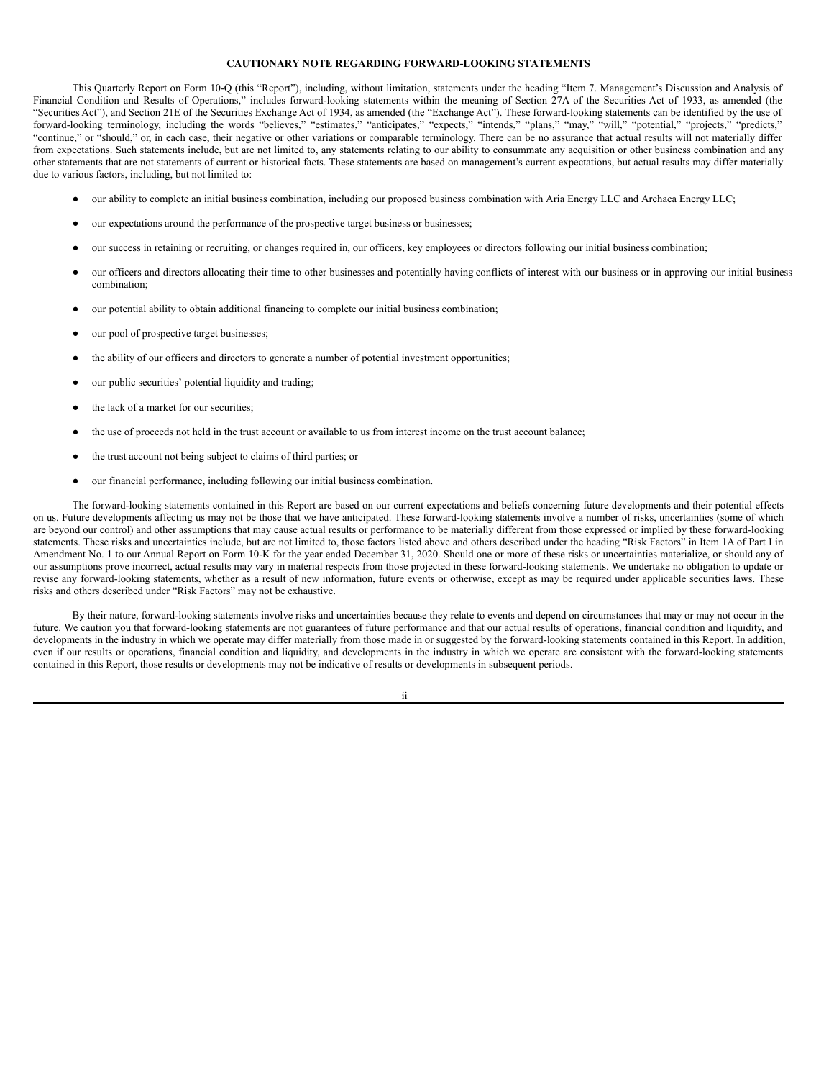### **CAUTIONARY NOTE REGARDING FORWARD-LOOKING STATEMENTS**

This Quarterly Report on Form 10-Q (this "Report"), including, without limitation, statements under the heading "Item 7. Management's Discussion and Analysis of Financial Condition and Results of Operations," includes forward-looking statements within the meaning of Section 27A of the Securities Act of 1933, as amended (the "Securities Act"), and Section 21E of the Securities Exchange Act of 1934, as amended (the "Exchange Act"). These forward-looking statements can be identified by the use of forward-looking terminology, including the words "believes," "estimates," "anticipates," "expects," "intends," "plans," "may," "will," "potential," "projects," "predicts," "continue," or "should," or, in each case, their negative or other variations or comparable terminology. There can be no assurance that actual results will not materially differ from expectations. Such statements include, but are not limited to, any statements relating to our ability to consummate any acquisition or other business combination and any other statements that are not statements of current or historical facts. These statements are based on management's current expectations, but actual results may differ materially due to various factors, including, but not limited to:

- our ability to complete an initial business combination, including our proposed business combination with Aria Energy LLC and Archaea Energy LLC;
- our expectations around the performance of the prospective target business or businesses;
- our success in retaining or recruiting, or changes required in, our officers, key employees or directors following our initial business combination;
- our officers and directors allocating their time to other businesses and potentially having conflicts of interest with our business or in approving our initial business combination;
- our potential ability to obtain additional financing to complete our initial business combination;
- our pool of prospective target businesses;
- the ability of our officers and directors to generate a number of potential investment opportunities;
- our public securities' potential liquidity and trading;
- the lack of a market for our securities;
- the use of proceeds not held in the trust account or available to us from interest income on the trust account balance;
- the trust account not being subject to claims of third parties; or
- our financial performance, including following our initial business combination.

The forward-looking statements contained in this Report are based on our current expectations and beliefs concerning future developments and their potential effects on us. Future developments affecting us may not be those that we have anticipated. These forward-looking statements involve a number of risks, uncertainties (some of which are beyond our control) and other assumptions that may cause actual results or performance to be materially different from those expressed or implied by these forward-looking statements. These risks and uncertainties include, but are not limited to, those factors listed above and others described under the heading "Risk Factors" in Item 1A of Part I in Amendment No. 1 to our Annual Report on Form 10-K for the year ended December 31, 2020. Should one or more of these risks or uncertainties materialize, or should any of our assumptions prove incorrect, actual results may vary in material respects from those projected in these forward-looking statements. We undertake no obligation to update or revise any forward-looking statements, whether as a result of new information, future events or otherwise, except as may be required under applicable securities laws. These risks and others described under "Risk Factors" may not be exhaustive.

By their nature, forward-looking statements involve risks and uncertainties because they relate to events and depend on circumstances that may or may not occur in the future. We caution you that forward-looking statements are not guarantees of future performance and that our actual results of operations, financial condition and liquidity, and developments in the industry in which we operate may differ materially from those made in or suggested by the forward-looking statements contained in this Report. In addition, even if our results or operations, financial condition and liquidity, and developments in the industry in which we operate are consistent with the forward-looking statements contained in this Report, those results or developments may not be indicative of results or developments in subsequent periods.

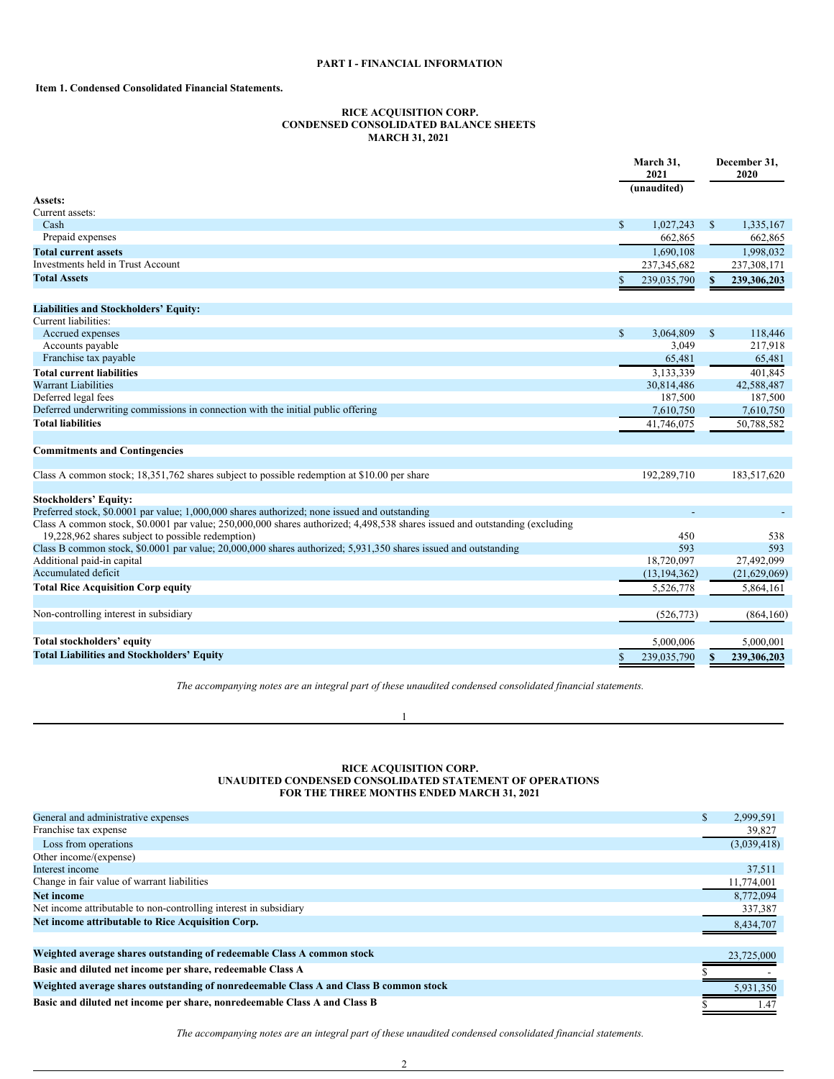## <span id="page-3-2"></span><span id="page-3-0"></span>**PART I - FINANCIAL INFORMATION**

## <span id="page-3-1"></span>**Item 1. Condensed Consolidated Financial Statements.**

## **RICE ACQUISITION CORP. CONDENSED CONSOLIDATED BALANCE SHEETS MARCH 31, 2021**

|                                                                                                                                                                                  |              | March 31,<br>2021 |          | December 31,<br>2020 |
|----------------------------------------------------------------------------------------------------------------------------------------------------------------------------------|--------------|-------------------|----------|----------------------|
|                                                                                                                                                                                  |              | (unaudited)       |          |                      |
| Assets:                                                                                                                                                                          |              |                   |          |                      |
| Current assets:<br>Cash                                                                                                                                                          | \$           | 1,027,243         | \$       | 1,335,167            |
| Prepaid expenses                                                                                                                                                                 |              | 662,865           |          | 662,865              |
| <b>Total current assets</b>                                                                                                                                                      |              | 1,690,108         |          | 1,998,032            |
| Investments held in Trust Account                                                                                                                                                |              |                   |          |                      |
| <b>Total Assets</b>                                                                                                                                                              |              | 237, 345, 682     |          | 237,308,171          |
|                                                                                                                                                                                  |              | 239,035,790       | S        | 239,306,203          |
| <b>Liabilities and Stockholders' Equity:</b>                                                                                                                                     |              |                   |          |                      |
| Current liabilities:                                                                                                                                                             |              |                   |          |                      |
| Accrued expenses                                                                                                                                                                 | $\mathbb{S}$ | 3,064,809         | \$       | 118,446              |
| Accounts payable                                                                                                                                                                 |              | 3,049             |          | 217,918              |
| Franchise tax payable                                                                                                                                                            |              | 65,481            |          | 65,481               |
| <b>Total current liabilities</b>                                                                                                                                                 |              | 3,133,339         |          | 401,845              |
| <b>Warrant Liabilities</b>                                                                                                                                                       |              | 30,814,486        |          | 42,588,487           |
| Deferred legal fees                                                                                                                                                              |              | 187,500           |          | 187,500              |
| Deferred underwriting commissions in connection with the initial public offering                                                                                                 |              | 7,610,750         |          | 7,610,750            |
| <b>Total liabilities</b>                                                                                                                                                         |              | 41,746,075        |          | 50,788,582           |
| <b>Commitments and Contingencies</b>                                                                                                                                             |              |                   |          |                      |
| Class A common stock; 18,351,762 shares subject to possible redemption at \$10.00 per share                                                                                      |              | 192,289,710       |          | 183,517,620          |
| <b>Stockholders' Equity:</b>                                                                                                                                                     |              |                   |          |                      |
| Preferred stock, \$0.0001 par value; 1,000,000 shares authorized; none issued and outstanding                                                                                    |              |                   |          |                      |
| Class A common stock, \$0.0001 par value; 250,000,000 shares authorized; 4,498,538 shares issued and outstanding (excluding<br>19,228,962 shares subject to possible redemption) |              | 450               |          | 538                  |
| Class B common stock, \$0.0001 par value; 20,000,000 shares authorized; 5,931,350 shares issued and outstanding                                                                  |              | 593               |          | 593                  |
| Additional paid-in capital                                                                                                                                                       |              | 18,720,097        |          | 27,492,099           |
| Accumulated deficit                                                                                                                                                              |              | (13, 194, 362)    |          | (21,629,069)         |
| <b>Total Rice Acquisition Corp equity</b>                                                                                                                                        |              | 5,526,778         |          | 5,864,161            |
| Non-controlling interest in subsidiary                                                                                                                                           |              | (526, 773)        |          | (864, 160)           |
| <b>Total stockholders' equity</b>                                                                                                                                                |              | 5,000,006         |          | 5,000,001            |
| <b>Total Liabilities and Stockholders' Equity</b>                                                                                                                                | \$           | 239,035,790       | <b>S</b> | 239,306,203          |

*The accompanying notes are an integral part of these unaudited condensed consolidated financial statements.*

<span id="page-3-3"></span>1

## **RICE ACQUISITION CORP. UNAUDITED CONDENSED CONSOLIDATED STATEMENT OF OPERATIONS FOR THE THREE MONTHS ENDED MARCH 31, 2021**

| General and administrative expenses                                                   | 2,999,591   |
|---------------------------------------------------------------------------------------|-------------|
| Franchise tax expense                                                                 | 39,827      |
| Loss from operations                                                                  | (3,039,418) |
| Other income/(expense)                                                                |             |
| Interest income                                                                       | 37,511      |
| Change in fair value of warrant liabilities                                           | 11,774,001  |
| <b>Net income</b>                                                                     | 8,772,094   |
| Net income attributable to non-controlling interest in subsidiary                     | 337,387     |
| Net income attributable to Rice Acquisition Corp.                                     | 8,434,707   |
|                                                                                       |             |
| Weighted average shares outstanding of redeemable Class A common stock                | 23,725,000  |
| Basic and diluted net income per share, redeemable Class A                            |             |
| Weighted average shares outstanding of nonredeemable Class A and Class B common stock | 5,931,350   |
| Basic and diluted net income per share, nonredeemable Class A and Class B             | 47          |

*The accompanying notes are an integral part of these unaudited condensed consolidated financial statements.*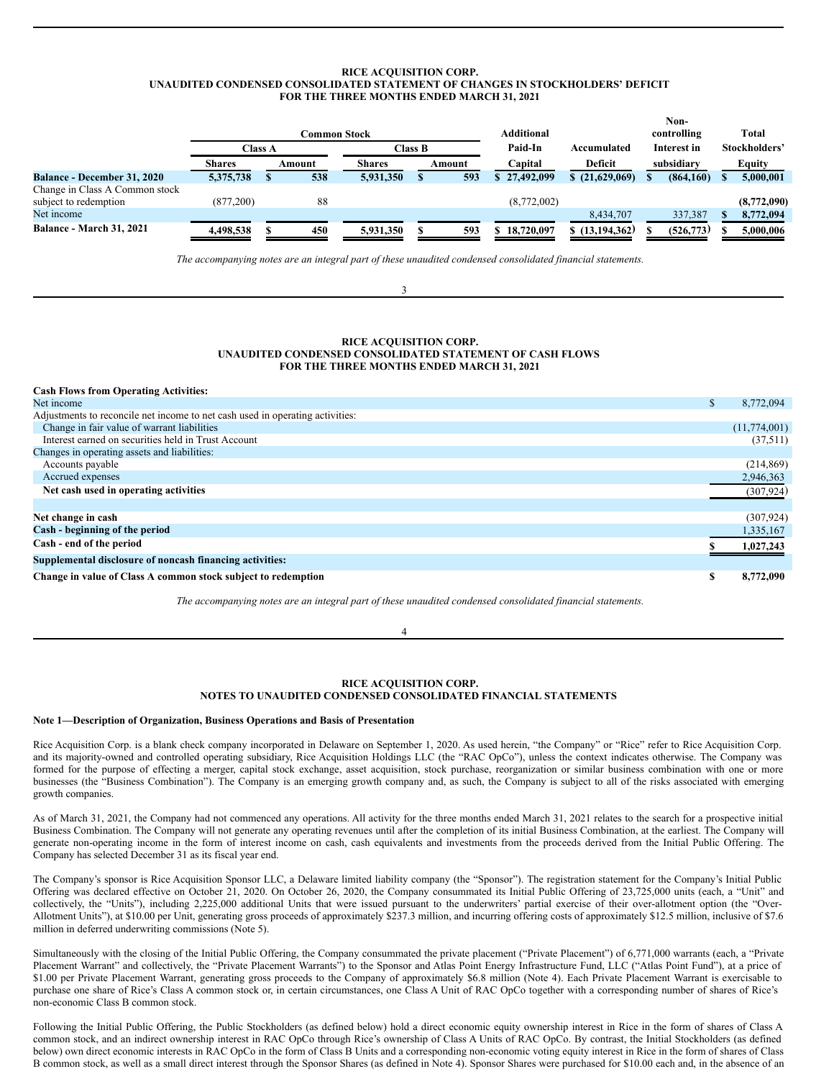### <span id="page-4-0"></span>**RICE ACQUISITION CORP. UNAUDITED CONDENSED CONSOLIDATED STATEMENT OF CHANGES IN STOCKHOLDERS' DEFICIT FOR THE THREE MONTHS ENDED MARCH 31, 2021**

|                                    |               |                |        |                |            |        |                            |                  |  | Non-         |             |               |
|------------------------------------|---------------|----------------|--------|----------------|------------|--------|----------------------------|------------------|--|--------------|-------------|---------------|
|                                    |               |                |        | Common Stock   | Additional |        | controlling<br>Interest in |                  |  | <b>Total</b> |             |               |
|                                    |               | <b>Class A</b> |        | <b>Class B</b> |            |        |                            |                  |  | Paid-In      | Accumulated | Stockholders' |
|                                    | <b>Shares</b> |                | Amount | <b>Shares</b>  |            | Amount | Capital                    | Deficit          |  | subsidiary   |             | <b>Equity</b> |
| <b>Balance - December 31, 2020</b> | 5,375,738     |                | 538    | 5,931,350      |            | 593    | \$27,492,099               | \$(21,629,069)   |  | (864,160)    |             | 5,000,001     |
| Change in Class A Common stock     |               |                |        |                |            |        |                            |                  |  |              |             |               |
| subject to redemption              | (877, 200)    |                | 88     |                |            |        | (8,772,002)                |                  |  |              |             | (8,772,090)   |
| Net income                         |               |                |        |                |            |        |                            | 8,434,707        |  | 337,387      |             | 8,772,094     |
| <b>Balance - March 31, 2021</b>    | 4,498,538     |                | 450    | 5,931,350      |            | 593    | \$18,720,097               | \$(13, 194, 362) |  | (526, 773)   |             | 5,000,006     |

*The accompanying notes are an integral part of these unaudited condensed consolidated financial statements.*

<span id="page-4-1"></span>3

### **RICE ACQUISITION CORP. UNAUDITED CONDENSED CONSOLIDATED STATEMENT OF CASH FLOWS FOR THE THREE MONTHS ENDED MARCH 31, 2021**

| <b>Cash Flows from Operating Activities:</b>                                  |               |              |
|-------------------------------------------------------------------------------|---------------|--------------|
| Net income                                                                    | $\mathcal{L}$ | 8,772,094    |
| Adjustments to reconcile net income to net cash used in operating activities: |               |              |
| Change in fair value of warrant liabilities                                   |               | (11,774,001) |
| Interest earned on securities held in Trust Account                           |               | (37,511)     |
| Changes in operating assets and liabilities:                                  |               |              |
| Accounts payable                                                              |               | (214, 869)   |
| Accrued expenses                                                              |               | 2,946,363    |
| Net cash used in operating activities                                         |               | (307, 924)   |
|                                                                               |               |              |
| Net change in cash                                                            |               | (307, 924)   |
| Cash - beginning of the period                                                |               | 1,335,167    |
| Cash - end of the period                                                      |               | 1,027,243    |
| Supplemental disclosure of noncash financing activities:                      |               |              |
| Change in value of Class A common stock subject to redemption                 |               | 8,772,090    |

*The accompanying notes are an integral part of these unaudited condensed consolidated financial statements.*

<span id="page-4-2"></span> $\Delta$ 

## **RICE ACQUISITION CORP. NOTES TO UNAUDITED CONDENSED CONSOLIDATED FINANCIAL STATEMENTS**

## **Note 1—Description of Organization, Business Operations and Basis of Presentation**

Rice Acquisition Corp. is a blank check company incorporated in Delaware on September 1, 2020. As used herein, "the Company" or "Rice" refer to Rice Acquisition Corp. and its majority-owned and controlled operating subsidiary, Rice Acquisition Holdings LLC (the "RAC OpCo"), unless the context indicates otherwise. The Company was formed for the purpose of effecting a merger, capital stock exchange, asset acquisition, stock purchase, reorganization or similar business combination with one or more businesses (the "Business Combination"). The Company is an emerging growth company and, as such, the Company is subject to all of the risks associated with emerging growth companies.

As of March 31, 2021, the Company had not commenced any operations. All activity for the three months ended March 31, 2021 relates to the search for a prospective initial Business Combination. The Company will not generate any operating revenues until after the completion of its initial Business Combination, at the earliest. The Company will generate non-operating income in the form of interest income on cash, cash equivalents and investments from the proceeds derived from the Initial Public Offering. The Company has selected December 31 as its fiscal year end.

The Company's sponsor is Rice Acquisition Sponsor LLC, a Delaware limited liability company (the "Sponsor"). The registration statement for the Company's Initial Public Offering was declared effective on October 21, 2020. On October 26, 2020, the Company consummated its Initial Public Offering of 23,725,000 units (each, a "Unit" and collectively, the "Units"), including 2,225,000 additional Units that were issued pursuant to the underwriters' partial exercise of their over-allotment option (the "Over-Allotment Units"), at \$10.00 per Unit, generating gross proceeds of approximately \$237.3 million, and incurring offering costs of approximately \$12.5 million, inclusive of \$7.6 million in deferred underwriting commissions (Note 5).

Simultaneously with the closing of the Initial Public Offering, the Company consummated the private placement ("Private Placement") of 6,771,000 warrants (each, a "Private Placement Warrant" and collectively, the "Private Placement Warrants") to the Sponsor and Atlas Point Energy Infrastructure Fund, LLC ("Atlas Point Fund"), at a price of \$1.00 per Private Placement Warrant, generating gross proceeds to the Company of approximately \$6.8 million (Note 4). Each Private Placement Warrant is exercisable to purchase one share of Rice's Class A common stock or, in certain circumstances, one Class A Unit of RAC OpCo together with a corresponding number of shares of Rice's non-economic Class B common stock.

Following the Initial Public Offering, the Public Stockholders (as defined below) hold a direct economic equity ownership interest in Rice in the form of shares of Class A common stock, and an indirect ownership interest in RAC OpCo through Rice's ownership of Class A Units of RAC OpCo. By contrast, the Initial Stockholders (as defined below) own direct economic interests in RAC OpCo in the form of Class B Units and a corresponding non-economic voting equity interest in Rice in the form of shares of Class B common stock, as well as a small direct interest through the Sponsor Shares (as defined in Note 4). Sponsor Shares were purchased for \$10.00 each and, in the absence of an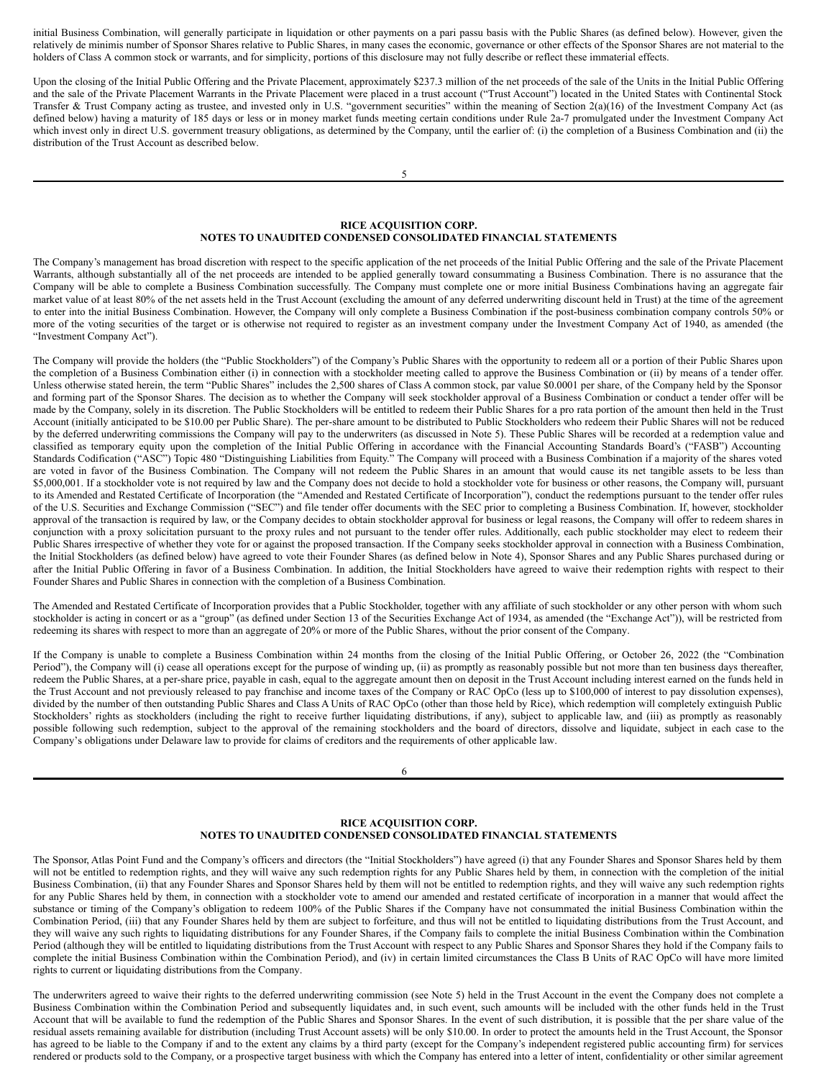initial Business Combination, will generally participate in liquidation or other payments on a pari passu basis with the Public Shares (as defined below). However, given the relatively de minimis number of Sponsor Shares relative to Public Shares, in many cases the economic, governance or other effects of the Sponsor Shares are not material to the holders of Class A common stock or warrants, and for simplicity, portions of this disclosure may not fully describe or reflect these immaterial effects.

Upon the closing of the Initial Public Offering and the Private Placement, approximately \$237.3 million of the net proceeds of the sale of the Units in the Initial Public Offering and the sale of the Private Placement Warrants in the Private Placement were placed in a trust account ("Trust Account") located in the United States with Continental Stock Transfer & Trust Company acting as trustee, and invested only in U.S. "government securities" within the meaning of Section 2(a)(16) of the Investment Company Act (as defined below) having a maturity of 185 days or less or in money market funds meeting certain conditions under Rule 2a-7 promulgated under the Investment Company Act which invest only in direct U.S. government treasury obligations, as determined by the Company, until the earlier of: (i) the completion of a Business Combination and (ii) the distribution of the Trust Account as described below.

### **RICE ACQUISITION CORP. NOTES TO UNAUDITED CONDENSED CONSOLIDATED FINANCIAL STATEMENTS**

The Company's management has broad discretion with respect to the specific application of the net proceeds of the Initial Public Offering and the sale of the Private Placement Warrants, although substantially all of the net proceeds are intended to be applied generally toward consummating a Business Combination. There is no assurance that the Company will be able to complete a Business Combination successfully. The Company must complete one or more initial Business Combinations having an aggregate fair market value of at least 80% of the net assets held in the Trust Account (excluding the amount of any deferred underwriting discount held in Trust) at the time of the agreement to enter into the initial Business Combination. However, the Company will only complete a Business Combination if the post-business combination company controls 50% or more of the voting securities of the target or is otherwise not required to register as an investment company under the Investment Company Act of 1940, as amended (the "Investment Company Act").

The Company will provide the holders (the "Public Stockholders") of the Company's Public Shares with the opportunity to redeem all or a portion of their Public Shares upon the completion of a Business Combination either (i) in connection with a stockholder meeting called to approve the Business Combination or (ii) by means of a tender offer. Unless otherwise stated herein, the term "Public Shares" includes the 2,500 shares of Class A common stock, par value \$0,0001 per share, of the Company held by the Sponsor and forming part of the Sponsor Shares. The decision as to whether the Company will seek stockholder approval of a Business Combination or conduct a tender offer will be made by the Company, solely in its discretion. The Public Stockholders will be entitled to redeem their Public Shares for a pro rata portion of the amount then held in the Trust Account (initially anticipated to be \$10.00 per Public Share). The per-share amount to be distributed to Public Stockholders who redeem their Public Shares will not be reduced by the deferred underwriting commissions the Company will pay to the underwriters (as discussed in Note 5). These Public Shares will be recorded at a redemption value and classified as temporary equity upon the completion of the Initial Public Offering in accordance with the Financial Accounting Standards Board's ("FASB") Accounting Standards Codification ("ASC") Topic 480 "Distinguishing Liabilities from Equity." The Company will proceed with a Business Combination if a majority of the shares voted are voted in favor of the Business Combination. The Company will not redeem the Public Shares in an amount that would cause its net tangible assets to be less than \$5,000,001. If a stockholder vote is not required by law and the Company does not decide to hold a stockholder vote for business or other reasons, the Company will, pursuant to its Amended and Restated Certificate of Incorporation (the "Amended and Restated Certificate of Incorporation"), conduct the redemptions pursuant to the tender offer rules of the U.S. Securities and Exchange Commission ("SEC") and file tender offer documents with the SEC prior to completing a Business Combination. If, however, stockholder approval of the transaction is required by law, or the Company decides to obtain stockholder approval for business or legal reasons, the Company will offer to redeem shares in conjunction with a proxy solicitation pursuant to the proxy rules and not pursuant to the tender offer rules. Additionally, each public stockholder may elect to redeem their Public Shares irrespective of whether they vote for or against the proposed transaction. If the Company seeks stockholder approval in connection with a Business Combination, the Initial Stockholders (as defined below) have agreed to vote their Founder Shares (as defined below in Note 4), Sponsor Shares and any Public Shares purchased during or after the Initial Public Offering in favor of a Business Combination. In addition, the Initial Stockholders have agreed to waive their redemption rights with respect to their Founder Shares and Public Shares in connection with the completion of a Business Combination.

The Amended and Restated Certificate of Incorporation provides that a Public Stockholder, together with any affiliate of such stockholder or any other person with whom such stockholder is acting in concert or as a "group" (as defined under Section 13 of the Securities Exchange Act of 1934, as amended (the "Exchange Act")), will be restricted from redeeming its shares with respect to more than an aggregate of 20% or more of the Public Shares, without the prior consent of the Company.

If the Company is unable to complete a Business Combination within 24 months from the closing of the Initial Public Offering, or October 26, 2022 (the "Combination Period"), the Company will (i) cease all operations except for the purpose of winding up, (ii) as promptly as reasonably possible but not more than ten business days thereafter, redeem the Public Shares, at a per-share price, payable in cash, equal to the aggregate amount then on deposit in the Trust Account including interest earned on the funds held in the Trust Account and not previously released to pay franchise and income taxes of the Company or RAC OpCo (less up to \$100,000 of interest to pay dissolution expenses), divided by the number of then outstanding Public Shares and Class A Units of RAC OpCo (other than those held by Rice), which redemption will completely extinguish Public Stockholders' rights as stockholders (including the right to receive further liquidating distributions, if any), subject to applicable law, and (iii) as promptly as reasonably possible following such redemption, subject to the approval of the remaining stockholders and the board of directors, dissolve and liquidate, subject in each case to the Company's obligations under Delaware law to provide for claims of creditors and the requirements of other applicable law.

#### 6

## **RICE ACQUISITION CORP. NOTES TO UNAUDITED CONDENSED CONSOLIDATED FINANCIAL STATEMENTS**

The Sponsor, Atlas Point Fund and the Company's officers and directors (the "Initial Stockholders") have agreed (i) that any Founder Shares and Sponsor Shares held by them will not be entitled to redemption rights, and they will waive any such redemption rights for any Public Shares held by them, in connection with the completion of the initial Business Combination, (ii) that any Founder Shares and Sponsor Shares held by them will not be entitled to redemption rights, and they will waive any such redemption rights for any Public Shares held by them, in connection with a stockholder vote to amend our amended and restated certificate of incorporation in a manner that would affect the substance or timing of the Company's obligation to redeem 100% of the Public Shares if the Company have not consummated the initial Business Combination within the Combination Period, (iii) that any Founder Shares held by them are subject to forfeiture, and thus will not be entitled to liquidating distributions from the Trust Account, and they will waive any such rights to liquidating distributions for any Founder Shares, if the Company fails to complete the initial Business Combination within the Combination Period (although they will be entitled to liquidating distributions from the Trust Account with respect to any Public Shares and Sponsor Shares they hold if the Company fails to complete the initial Business Combination within the Combination Period), and (iv) in certain limited circumstances the Class B Units of RAC OpCo will have more limited rights to current or liquidating distributions from the Company.

The underwriters agreed to waive their rights to the deferred underwriting commission (see Note 5) held in the Trust Account in the event the Company does not complete a Business Combination within the Combination Period and subsequently liquidates and, in such event, such amounts will be included with the other funds held in the Trust Account that will be available to fund the redemption of the Public Shares and Sponsor Shares. In the event of such distribution, it is possible that the per share value of the residual assets remaining available for distribution (including Trust Account assets) will be only \$10.00. In order to protect the amounts held in the Trust Account, the Sponsor has agreed to be liable to the Company if and to the extent any claims by a third party (except for the Company's independent registered public accounting firm) for services rendered or products sold to the Company, or a prospective target business with which the Company has entered into a letter of intent, confidentiality or other similar agreement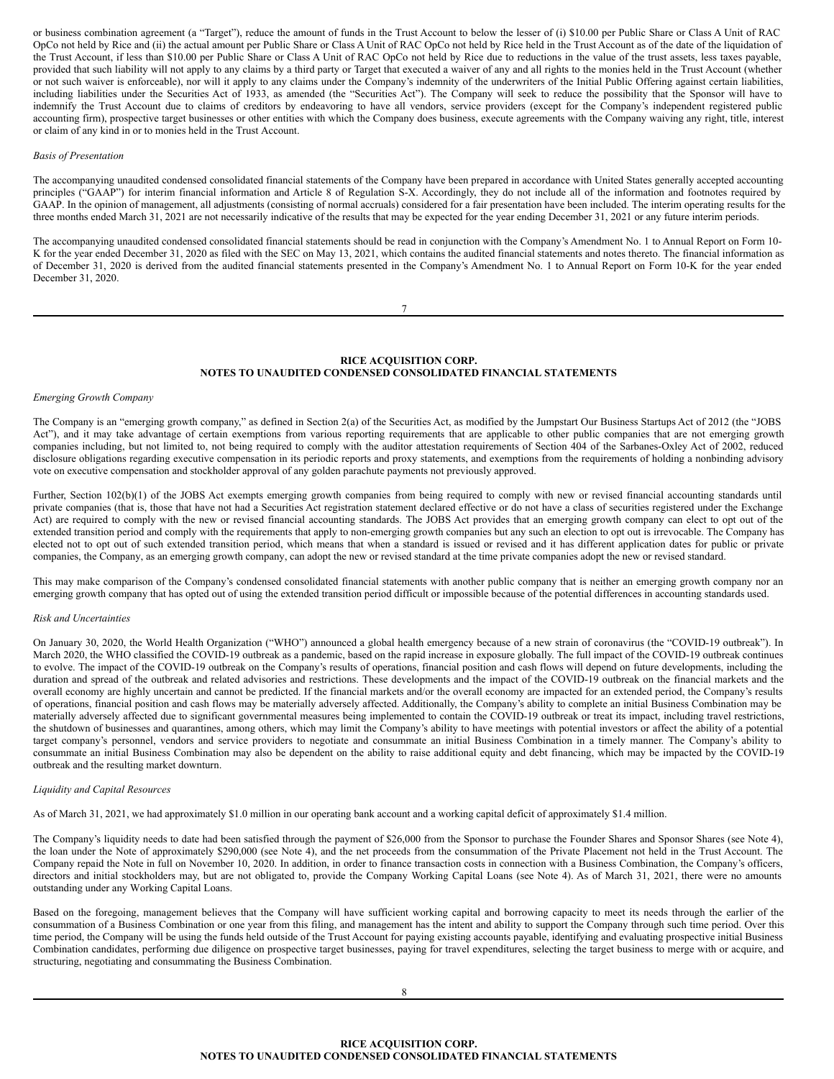or business combination agreement (a "Target"), reduce the amount of funds in the Trust Account to below the lesser of (i) \$10.00 per Public Share or Class A Unit of RAC OpCo not held by Rice and (ii) the actual amount per Public Share or Class A Unit of RAC OpCo not held by Rice held in the Trust Account as of the date of the liquidation of the Trust Account, if less than \$10.00 per Public Share or Class A Unit of RAC OpCo not held by Rice due to reductions in the value of the trust assets, less taxes payable, provided that such liability will not apply to any claims by a third party or Target that executed a waiver of any and all rights to the monies held in the Trust Account (whether or not such waiver is enforceable), nor will it apply to any claims under the Company's indemnity of the underwriters of the Initial Public Offering against certain liabilities, including liabilities under the Securities Act of 1933, as amended (the "Securities Act"). The Company will seek to reduce the possibility that the Sponsor will have to indemnify the Trust Account due to claims of creditors by endeavoring to have all vendors, service providers (except for the Company's independent registered public accounting firm), prospective target businesses or other entities with which the Company does business, execute agreements with the Company waiving any right, title, interest or claim of any kind in or to monies held in the Trust Account.

### *Basis of Presentation*

The accompanying unaudited condensed consolidated financial statements of the Company have been prepared in accordance with United States generally accepted accounting principles ("GAAP") for interim financial information and Article 8 of Regulation S-X. Accordingly, they do not include all of the information and footnotes required by GAAP. In the opinion of management, all adjustments (consisting of normal accruals) considered for a fair presentation have been included. The interim operating results for the three months ended March 31, 2021 are not necessarily indicative of the results that may be expected for the year ending December 31, 2021 or any future interim periods.

The accompanying unaudited condensed consolidated financial statements should be read in conjunction with the Company's Amendment No. 1 to Annual Report on Form 10- K for the year ended December 31, 2020 as filed with the SEC on May 13, 2021, which contains the audited financial statements and notes thereto. The financial information as of December 31, 2020 is derived from the audited financial statements presented in the Company's Amendment No. 1 to Annual Report on Form 10-K for the year ended December 31, 2020.

7

## **RICE ACQUISITION CORP. NOTES TO UNAUDITED CONDENSED CONSOLIDATED FINANCIAL STATEMENTS**

#### *Emerging Growth Company*

The Company is an "emerging growth company," as defined in Section 2(a) of the Securities Act, as modified by the Jumpstart Our Business Startups Act of 2012 (the "JOBS Act"), and it may take advantage of certain exemptions from various reporting requirements that are applicable to other public companies that are not emerging growth companies including, but not limited to, not being required to comply with the auditor attestation requirements of Section 404 of the Sarbanes-Oxley Act of 2002, reduced disclosure obligations regarding executive compensation in its periodic reports and proxy statements, and exemptions from the requirements of holding a nonbinding advisory vote on executive compensation and stockholder approval of any golden parachute payments not previously approved.

Further, Section 102(b)(1) of the JOBS Act exempts emerging growth companies from being required to comply with new or revised financial accounting standards until private companies (that is, those that have not had a Securities Act registration statement declared effective or do not have a class of securities registered under the Exchange Act) are required to comply with the new or revised financial accounting standards. The JOBS Act provides that an emerging growth company can elect to opt out of the extended transition period and comply with the requirements that apply to non-emerging growth companies but any such an election to opt out is irrevocable. The Company has elected not to opt out of such extended transition period, which means that when a standard is issued or revised and it has different application dates for public or private companies, the Company, as an emerging growth company, can adopt the new or revised standard at the time private companies adopt the new or revised standard.

This may make comparison of the Company's condensed consolidated financial statements with another public company that is neither an emerging growth company nor an emerging growth company that has opted out of using the extended transition period difficult or impossible because of the potential differences in accounting standards used.

#### *Risk and Uncertainties*

On January 30, 2020, the World Health Organization ("WHO") announced a global health emergency because of a new strain of coronavirus (the "COVID-19 outbreak"). In March 2020, the WHO classified the COVID-19 outbreak as a pandemic, based on the rapid increase in exposure globally. The full impact of the COVID-19 outbreak continues to evolve. The impact of the COVID-19 outbreak on the Company's results of operations, financial position and cash flows will depend on future developments, including the duration and spread of the outbreak and related advisories and restrictions. These developments and the impact of the COVID-19 outbreak on the financial markets and the overall economy are highly uncertain and cannot be predicted. If the financial markets and/or the overall economy are impacted for an extended period, the Company's results of operations, financial position and cash flows may be materially adversely affected. Additionally, the Company's ability to complete an initial Business Combination may be materially adversely affected due to significant governmental measures being implemented to contain the COVID-19 outbreak or treat its impact, including travel restrictions, the shutdown of businesses and quarantines, among others, which may limit the Company's ability to have meetings with potential investors or affect the ability of a potential target company's personnel, vendors and service providers to negotiate and consummate an initial Business Combination in a timely manner. The Company's ability to consummate an initial Business Combination may also be dependent on the ability to raise additional equity and debt financing, which may be impacted by the COVID-19 outbreak and the resulting market downturn.

#### *Liquidity and Capital Resources*

As of March 31, 2021, we had approximately \$1.0 million in our operating bank account and a working capital deficit of approximately \$1.4 million.

The Company's liquidity needs to date had been satisfied through the payment of \$26,000 from the Sponsor to purchase the Founder Shares and Sponsor Shares (see Note 4), the loan under the Note of approximately \$290,000 (see Note 4), and the net proceeds from the consummation of the Private Placement not held in the Trust Account. The Company repaid the Note in full on November 10, 2020. In addition, in order to finance transaction costs in connection with a Business Combination, the Company's officers, directors and initial stockholders may, but are not obligated to, provide the Company Working Capital Loans (see Note 4). As of March 31, 2021, there were no amounts outstanding under any Working Capital Loans.

Based on the foregoing, management believes that the Company will have sufficient working capital and borrowing capacity to meet its needs through the earlier of the consummation of a Business Combination or one year from this filing, and management has the intent and ability to support the Company through such time period. Over this time period, the Company will be using the funds held outside of the Trust Account for paying existing accounts payable, identifying and evaluating prospective initial Business Combination candidates, performing due diligence on prospective target businesses, paying for travel expenditures, selecting the target business to merge with or acquire, and structuring, negotiating and consummating the Business Combination.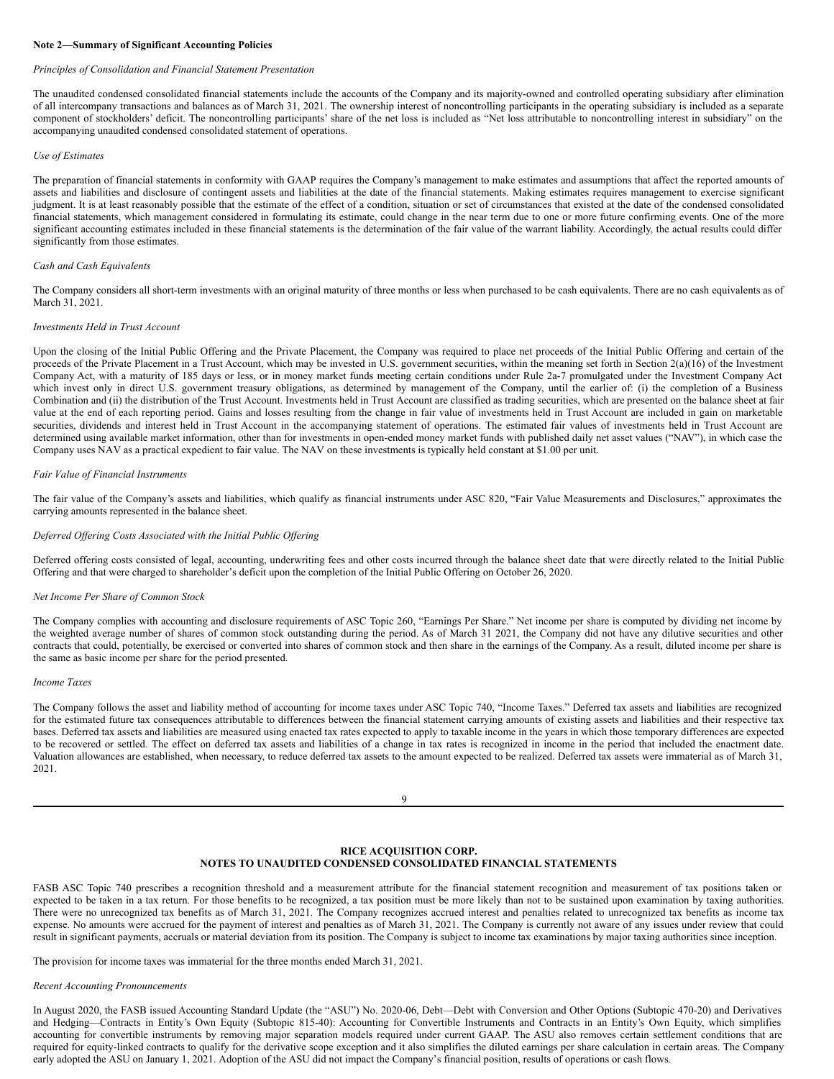#### **Note 2—Summary of Significant Accounting Policies**

#### *Principles of Consolidation and Financial Statement Presentation*

The unaudited condensed consolidated financial statements include the accounts of the Company and its majority-owned and controlled operating subsidiary after elimination of all intercompany transactions and balances as of March 31, 2021. The ownership interest of noncontrolling participants in the operating subsidiary is included as a separate component of stockholders' deficit. The noncontrolling participants' share of the net loss is included as "Net loss attributable to noncontrolling interest in subsidiary" on the accompanying unaudited condensed consolidated statement of operations.

#### *Use of Estimates*

The preparation of financial statements in conformity with GAAP requires the Company's management to make estimates and assumptions that affect the reported amounts of assets and liabilities and disclosure of contingent assets and liabilities at the date of the financial statements. Making estimates requires management to exercise significant judgment. It is at least reasonably possible that the estimate of the effect of a condition, situation or set of circumstances that existed at the date of the condensed consolidated financial statements, which management considered in formulating its estimate, could change in the near term due to one or more future confirming events. One of the more significant accounting estimates included in these financial statements is the determination of the fair value of the warrant liability. Accordingly, the actual results could differ significantly from those estimates.

#### *Cash and Cash Equivalents*

The Company considers all short-term investments with an original maturity of three months or less when purchased to be cash equivalents. There are no cash equivalents as of March 31, 2021.

## *Investments Held in Trust Account*

Upon the closing of the Initial Public Offering and the Private Placement, the Company was required to place net proceeds of the Initial Public Offering and certain of the proceeds of the Private Placement in a Trust Account, which may be invested in U.S. government securities, within the meaning set forth in Section 2(a)(16) of the Investment Company Act, with a maturity of 185 days or less, or in money market funds meeting certain conditions under Rule 2a-7 promulgated under the Investment Company Act which invest only in direct U.S. government treasury obligations, as determined by management of the Company, until the earlier of: (i) the completion of a Business Combination and (ii) the distribution of the Trust Account. Investments held in Trust Account are classified as trading securities, which are presented on the balance sheet at fair value at the end of each reporting period. Gains and losses resulting from the change in fair value of investments held in Trust Account are included in gain on marketable securities, dividends and interest held in Trust Account in the accompanying statement of operations. The estimated fair values of investments held in Trust Account are determined using available market information, other than for investments in open-ended money market funds with published daily net asset values ("NAV"), in which case the Company uses NAV as a practical expedient to fair value. The NAV on these investments is typically held constant at \$1.00 per unit.

#### *Fair Value of Financial Instruments*

The fair value of the Company's assets and liabilities, which qualify as financial instruments under ASC 820, "Fair Value Measurements and Disclosures," approximates the carrying amounts represented in the balance sheet.

#### *Deferred Of ering Costs Associated with the Initial Public Of ering*

Deferred offering costs consisted of legal, accounting, underwriting fees and other costs incurred through the balance sheet date that were directly related to the Initial Public Offering and that were charged to shareholder's deficit upon the completion of the Initial Public Offering on October 26, 2020.

## *Net Income Per Share of Common Stock*

The Company complies with accounting and disclosure requirements of ASC Topic 260, "Earnings Per Share." Net income per share is computed by dividing net income by the weighted average number of shares of common stock outstanding during the period. As of March 31 2021, the Company did not have any dilutive securities and other contracts that could, potentially, be exercised or converted into shares of common stock and then share in the earnings of the Company. As a result, diluted income per share is the same as basic income per share for the period presented.

#### *Income Taxes*

The Company follows the asset and liability method of accounting for income taxes under ASC Topic 740, "Income Taxes." Deferred tax assets and liabilities are recognized for the estimated future tax consequences attributable to differences between the financial statement carrying amounts of existing assets and liabilities and their respective tax bases. Deferred tax assets and liabilities are measured using enacted tax rates expected to apply to taxable income in the years in which those temporary differences are expected to be recovered or settled. The effect on deferred tax assets and liabilities of a change in tax rates is recognized in income in the period that included the enactment date. Valuation allowances are established, when necessary, to reduce deferred tax assets to the amount expected to be realized. Deferred tax assets were immaterial as of March 31, 2021.

$$
9 \\
$$

## **RICE ACQUISITION CORP. NOTES TO UNAUDITED CONDENSED CONSOLIDATED FINANCIAL STATEMENTS**

FASB ASC Topic 740 prescribes a recognition threshold and a measurement attribute for the financial statement recognition and measurement of tax positions taken or expected to be taken in a tax return. For those benefits to be recognized, a tax position must be more likely than not to be sustained upon examination by taxing authorities. There were no unrecognized tax benefits as of March 31, 2021. The Company recognizes accrued interest and penalties related to unrecognized tax benefits as income tax expense. No amounts were accrued for the payment of interest and penalties as of March 31, 2021. The Company is currently not aware of any issues under review that could result in significant payments, accruals or material deviation from its position. The Company is subject to income tax examinations by major taxing authorities since inception.

The provision for income taxes was immaterial for the three months ended March 31, 2021.

#### *Recent Accounting Pronouncements*

In August 2020, the FASB issued Accounting Standard Update (the "ASU") No. 2020-06, Debt—Debt with Conversion and Other Options (Subtopic 470-20) and Derivatives and Hedging—Contracts in Entity's Own Equity (Subtopic 815-40): Accounting for Convertible Instruments and Contracts in an Entity's Own Equity, which simplifies accounting for convertible instruments by removing major separation models required under current GAAP. The ASU also removes certain settlement conditions that are required for equity-linked contracts to qualify for the derivative scope exception and it also simplifies the diluted earnings per share calculation in certain areas. The Company early adopted the ASU on January 1, 2021. Adoption of the ASU did not impact the Company's financial position, results of operations or cash flows.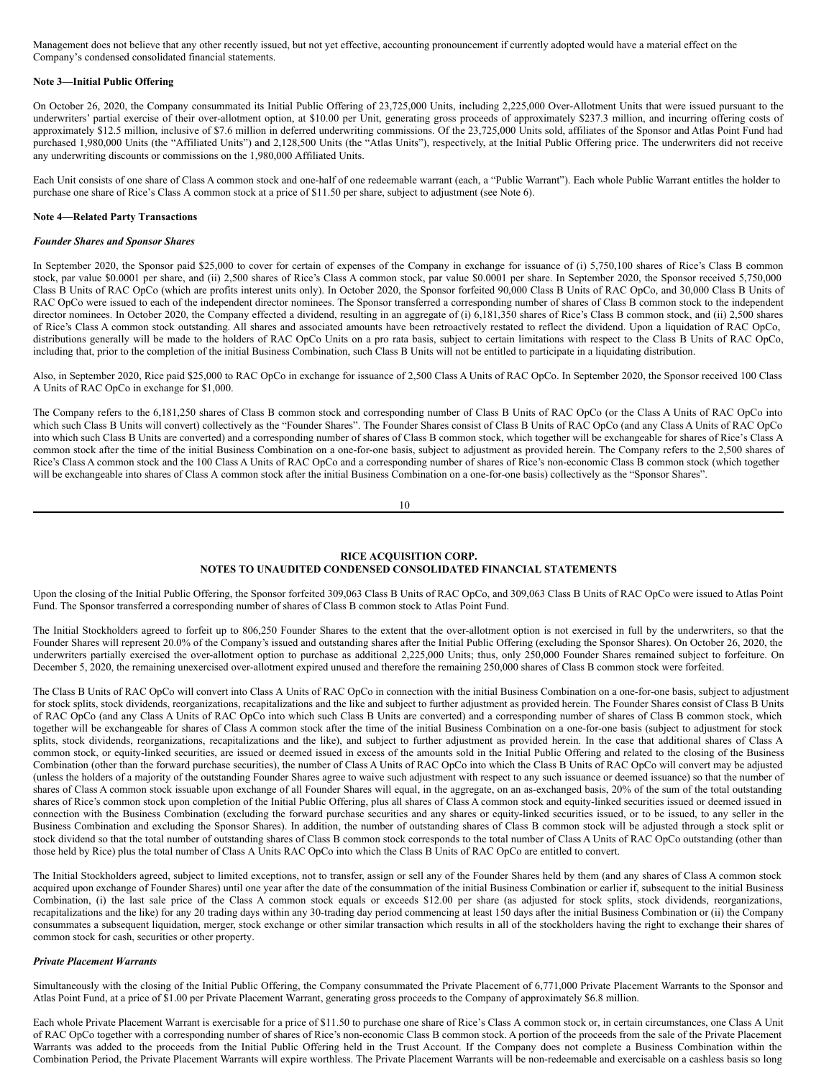Management does not believe that any other recently issued, but not yet effective, accounting pronouncement if currently adopted would have a material effect on the Company's condensed consolidated financial statements.

## **Note 3—Initial Public Offering**

On October 26, 2020, the Company consummated its Initial Public Offering of 23,725,000 Units, including 2,225,000 Over-Allotment Units that were issued pursuant to the underwriters' partial exercise of their over-allotment option, at \$10.00 per Unit, generating gross proceeds of approximately \$237.3 million, and incurring offering costs of approximately \$12.5 million, inclusive of \$7.6 million in deferred underwriting commissions. Of the 23,725,000 Units sold, affiliates of the Sponsor and Atlas Point Fund had purchased 1,980,000 Units (the "Affiliated Units") and 2,128,500 Units (the "Atlas Units"), respectively, at the Initial Public Offering price. The underwriters did not receive any underwriting discounts or commissions on the 1,980,000 Affiliated Units.

Each Unit consists of one share of Class A common stock and one-half of one redeemable warrant (each, a "Public Warrant"). Each whole Public Warrant entitles the holder to purchase one share of Rice's Class A common stock at a price of \$11.50 per share, subject to adjustment (see Note 6).

### **Note 4—Related Party Transactions**

### *Founder Shares and Sponsor Shares*

In September 2020, the Sponsor paid \$25,000 to cover for certain of expenses of the Company in exchange for issuance of (i) 5,750,100 shares of Rice's Class B common stock, par value \$0.0001 per share, and (ii) 2,500 shares of Rice's Class A common stock, par value \$0.0001 per share. In September 2020, the Sponsor received 5,750,000 Class B Units of RAC OpCo (which are profits interest units only). In October 2020, the Sponsor forfeited 90,000 Class B Units of RAC OpCo, and 30,000 Class B Units of RAC OpCo were issued to each of the independent director nominees. The Sponsor transferred a corresponding number of shares of Class B common stock to the independent director nominees. In October 2020, the Company effected a dividend, resulting in an aggregate of (i) 6,181,350 shares of Rice's Class B common stock, and (ii) 2,500 shares of Rice's Class A common stock outstanding. All shares and associated amounts have been retroactively restated to reflect the dividend. Upon a liquidation of RAC OpCo, distributions generally will be made to the holders of RAC OpCo Units on a pro rata basis, subject to certain limitations with respect to the Class B Units of RAC OpCo, including that, prior to the completion of the initial Business Combination, such Class B Units will not be entitled to participate in a liquidating distribution.

Also, in September 2020, Rice paid \$25,000 to RAC OpCo in exchange for issuance of 2,500 Class A Units of RAC OpCo. In September 2020, the Sponsor received 100 Class A Units of RAC OpCo in exchange for \$1,000.

The Company refers to the 6,181,250 shares of Class B common stock and corresponding number of Class B Units of RAC OpCo (or the Class A Units of RAC OpCo into which such Class B Units will convert) collectively as the "Founder Shares". The Founder Shares consist of Class B Units of RAC OpCo (and any Class A Units of RAC OpCo into which such Class B Units are converted) and a corresponding number of shares of Class B common stock, which together will be exchangeable for shares of Rice's Class A common stock after the time of the initial Business Combination on a one-for-one basis, subject to adjustment as provided herein. The Company refers to the 2,500 shares of Rice's Class A common stock and the 100 Class A Units of RAC OpCo and a corresponding number of shares of Rice's non-economic Class B common stock (which together will be exchangeable into shares of Class A common stock after the initial Business Combination on a one-for-one basis) collectively as the "Sponsor Shares".

$$
10\quad
$$

### **RICE ACQUISITION CORP. NOTES TO UNAUDITED CONDENSED CONSOLIDATED FINANCIAL STATEMENTS**

Upon the closing of the Initial Public Offering, the Sponsor forfeited 309,063 Class B Units of RAC OpCo, and 309,063 Class B Units of RAC OpCo were issued to Atlas Point Fund. The Sponsor transferred a corresponding number of shares of Class B common stock to Atlas Point Fund.

The Initial Stockholders agreed to forfeit up to 806,250 Founder Shares to the extent that the over-allotment option is not exercised in full by the underwriters, so that the Founder Shares will represent 20.0% of the Company's issued and outstanding shares after the Initial Public Offering (excluding the Sponsor Shares). On October 26, 2020, the underwriters partially exercised the over-allotment option to purchase as additional 2,225,000 Units; thus, only 250,000 Founder Shares remained subject to forfeiture. On December 5, 2020, the remaining unexercised over-allotment expired unused and therefore the remaining 250,000 shares of Class B common stock were forfeited.

The Class B Units of RAC OpCo will convert into Class A Units of RAC OpCo in connection with the initial Business Combination on a one-for-one basis, subject to adjustment for stock splits, stock dividends, reorganizations, recapitalizations and the like and subject to further adjustment as provided herein. The Founder Shares consist of Class B Units of RAC OpCo (and any Class A Units of RAC OpCo into which such Class B Units are converted) and a corresponding number of shares of Class B common stock, which together will be exchangeable for shares of Class A common stock after the time of the initial Business Combination on a one-for-one basis (subject to adjustment for stock splits, stock dividends, reorganizations, recapitalizations and the like), and subject to further adjustment as provided herein. In the case that additional shares of Class A common stock, or equity-linked securities, are issued or deemed issued in excess of the amounts sold in the Initial Public Offering and related to the closing of the Business Combination (other than the forward purchase securities), the number of Class A Units of RAC OpCo into which the Class B Units of RAC OpCo will convert may be adjusted (unless the holders of a majority of the outstanding Founder Shares agree to waive such adjustment with respect to any such issuance or deemed issuance) so that the number of shares of Class A common stock issuable upon exchange of all Founder Shares will equal, in the aggregate, on an as-exchanged basis, 20% of the sum of the total outstanding shares of Rice's common stock upon completion of the Initial Public Offering, plus all shares of Class A common stock and equity-linked securities issued or deemed issued in connection with the Business Combination (excluding the forward purchase securities and any shares or equity-linked securities issued, or to be issued, to any seller in the Business Combination and excluding the Sponsor Shares). In addition, the number of outstanding shares of Class B common stock will be adjusted through a stock split or stock dividend so that the total number of outstanding shares of Class B common stock corresponds to the total number of Class A Units of RAC OpCo outstanding (other than those held by Rice) plus the total number of Class A Units RAC OpCo into which the Class B Units of RAC OpCo are entitled to convert.

The Initial Stockholders agreed, subject to limited exceptions, not to transfer, assign or sell any of the Founder Shares held by them (and any shares of Class A common stock acquired upon exchange of Founder Shares) until one year after the date of the consummation of the initial Business Combination or earlier if, subsequent to the initial Business Combination, (i) the last sale price of the Class A common stock equals or exceeds \$12.00 per share (as adjusted for stock splits, stock dividends, reorganizations, recapitalizations and the like) for any 20 trading days within any 30-trading day period commencing at least 150 days after the initial Business Combination or (ii) the Company consummates a subsequent liquidation, merger, stock exchange or other similar transaction which results in all of the stockholders having the right to exchange their shares of common stock for cash, securities or other property.

## *Private Placement Warrants*

Simultaneously with the closing of the Initial Public Offering, the Company consummated the Private Placement of 6,771,000 Private Placement Warrants to the Sponsor and Atlas Point Fund, at a price of \$1.00 per Private Placement Warrant, generating gross proceeds to the Company of approximately \$6.8 million.

Each whole Private Placement Warrant is exercisable for a price of \$11.50 to purchase one share of Rice's Class A common stock or, in certain circumstances, one Class A Unit of RAC OpCo together with a corresponding number of shares of Rice's non-economic Class B common stock. A portion of the proceeds from the sale of the Private Placement Warrants was added to the proceeds from the Initial Public Offering held in the Trust Account. If the Company does not complete a Business Combination within the Combination Period, the Private Placement Warrants will expire worthless. The Private Placement Warrants will be non-redeemable and exercisable on a cashless basis so long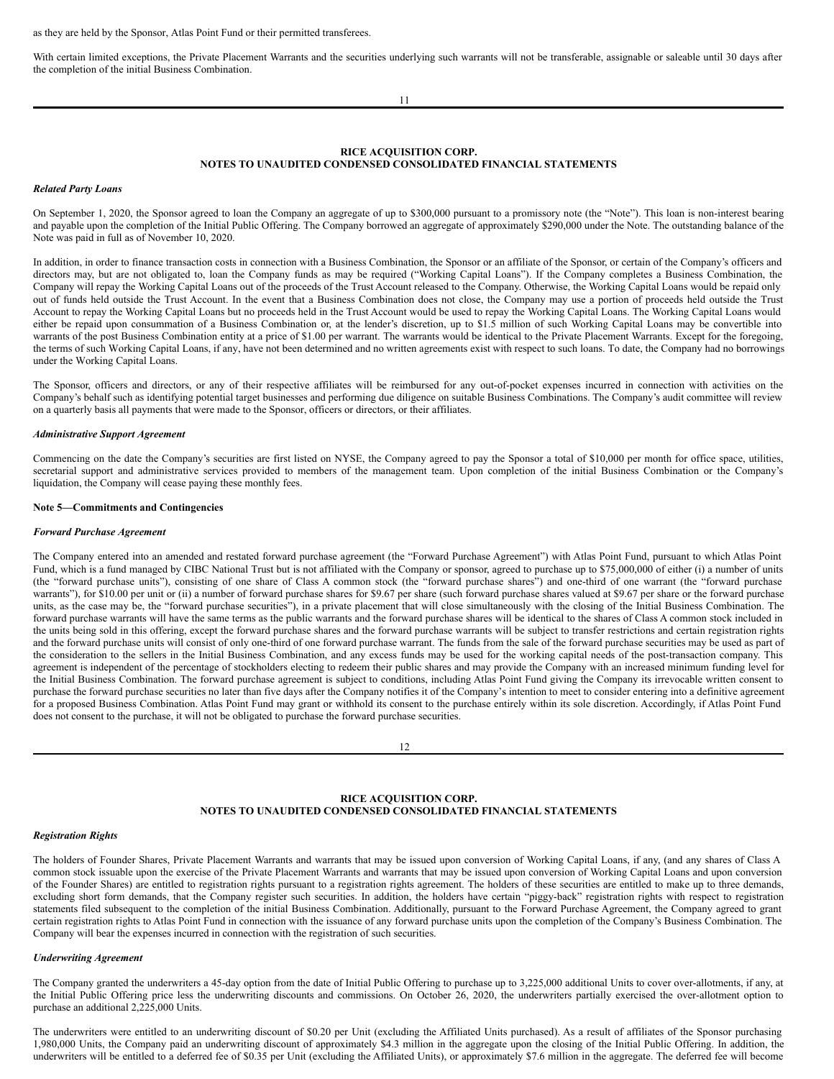as they are held by the Sponsor, Atlas Point Fund or their permitted transferees.

With certain limited exceptions, the Private Placement Warrants and the securities underlying such warrants will not be transferable, assignable or saleable until 30 days after the completion of the initial Business Combination.

11

### **RICE ACQUISITION CORP. NOTES TO UNAUDITED CONDENSED CONSOLIDATED FINANCIAL STATEMENTS**

#### *Related Party Loans*

On September 1, 2020, the Sponsor agreed to loan the Company an aggregate of up to \$300,000 pursuant to a promissory note (the "Note"). This loan is non-interest bearing and payable upon the completion of the Initial Public Offering. The Company borrowed an aggregate of approximately \$290,000 under the Note. The outstanding balance of the Note was paid in full as of November 10, 2020.

In addition, in order to finance transaction costs in connection with a Business Combination, the Sponsor or an affiliate of the Sponsor, or certain of the Company's officers and directors may, but are not obligated to, loan the Company funds as may be required ("Working Capital Loans"). If the Company completes a Business Combination, the Company will repay the Working Capital Loans out of the proceeds of the Trust Account released to the Company. Otherwise, the Working Capital Loans would be repaid only out of funds held outside the Trust Account. In the event that a Business Combination does not close, the Company may use a portion of proceeds held outside the Trust Account to repay the Working Capital Loans but no proceeds held in the Trust Account would be used to repay the Working Capital Loans. The Working Capital Loans would either be repaid upon consummation of a Business Combination or, at the lender's discretion, up to \$1.5 million of such Working Capital Loans may be convertible into warrants of the post Business Combination entity at a price of \$1.00 per warrant. The warrants would be identical to the Private Placement Warrants. Except for the foregoing, the terms of such Working Capital Loans, if any, have not been determined and no written agreements exist with respect to such loans. To date, the Company had no borrowings under the Working Capital Loans.

The Sponsor, officers and directors, or any of their respective affiliates will be reimbursed for any out-of-pocket expenses incurred in connection with activities on the Company's behalf such as identifying potential target businesses and performing due diligence on suitable Business Combinations. The Company's audit committee will review on a quarterly basis all payments that were made to the Sponsor, officers or directors, or their affiliates.

#### *Administrative Support Agreement*

Commencing on the date the Company's securities are first listed on NYSE, the Company agreed to pay the Sponsor a total of \$10,000 per month for office space, utilities, secretarial support and administrative services provided to members of the management team. Upon completion of the initial Business Combination or the Company's liquidation, the Company will cease paying these monthly fees.

## **Note 5—Commitments and Contingencies**

#### *Forward Purchase Agreement*

The Company entered into an amended and restated forward purchase agreement (the "Forward Purchase Agreement") with Atlas Point Fund, pursuant to which Atlas Point Fund, which is a fund managed by CIBC National Trust but is not affiliated with the Company or sponsor, agreed to purchase up to \$75,000,000 of either (i) a number of units (the "forward purchase units"), consisting of one share of Class A common stock (the "forward purchase shares") and one-third of one warrant (the "forward purchase warrants"), for \$10.00 per unit or (ii) a number of forward purchase shares for \$9.67 per share (such forward purchase shares valued at \$9.67 per share or the forward purchase units, as the case may be, the "forward purchase securities"), in a private placement that will close simultaneously with the closing of the Initial Business Combination. The forward purchase warrants will have the same terms as the public warrants and the forward purchase shares will be identical to the shares of Class A common stock included in the units being sold in this offering, except the forward purchase shares and the forward purchase warrants will be subject to transfer restrictions and certain registration rights and the forward purchase units will consist of only one-third of one forward purchase warrant. The funds from the sale of the forward purchase securities may be used as part of the consideration to the sellers in the Initial Business Combination, and any excess funds may be used for the working capital needs of the post-transaction company. This agreement is independent of the percentage of stockholders electing to redeem their public shares and may provide the Company with an increased minimum funding level for the Initial Business Combination. The forward purchase agreement is subject to conditions, including Atlas Point Fund giving the Company its irrevocable written consent to purchase the forward purchase securities no later than five days after the Company notifies it of the Company's intention to meet to consider entering into a definitive agreement for a proposed Business Combination. Atlas Point Fund may grant or withhold its consent to the purchase entirely within its sole discretion. Accordingly, if Atlas Point Fund does not consent to the purchase, it will not be obligated to purchase the forward purchase securities.

12

## **RICE ACQUISITION CORP. NOTES TO UNAUDITED CONDENSED CONSOLIDATED FINANCIAL STATEMENTS**

#### *Registration Rights*

The holders of Founder Shares, Private Placement Warrants and warrants that may be issued upon conversion of Working Capital Loans, if any, (and any shares of Class A common stock issuable upon the exercise of the Private Placement Warrants and warrants that may be issued upon conversion of Working Capital Loans and upon conversion of the Founder Shares) are entitled to registration rights pursuant to a registration rights agreement. The holders of these securities are entitled to make up to three demands, excluding short form demands, that the Company register such securities. In addition, the holders have certain "piggy-back" registration rights with respect to registration statements filed subsequent to the completion of the initial Business Combination. Additionally, pursuant to the Forward Purchase Agreement, the Company agreed to grant certain registration rights to Atlas Point Fund in connection with the issuance of any forward purchase units upon the completion of the Company's Business Combination. The Company will bear the expenses incurred in connection with the registration of such securities.

#### *Underwriting Agreement*

The Company granted the underwriters a 45-day option from the date of Initial Public Offering to purchase up to 3,225,000 additional Units to cover over-allotments, if any, at the Initial Public Offering price less the underwriting discounts and commissions. On October 26, 2020, the underwriters partially exercised the over-allotment option to purchase an additional 2,225,000 Units.

The underwriters were entitled to an underwriting discount of \$0.20 per Unit (excluding the Affiliated Units purchased). As a result of affiliates of the Sponsor purchasing 1,980,000 Units, the Company paid an underwriting discount of approximately \$4.3 million in the aggregate upon the closing of the Initial Public Offering. In addition, the underwriters will be entitled to a deferred fee of \$0.35 per Unit (excluding the Affiliated Units), or approximately \$7.6 million in the aggregate. The deferred fee will become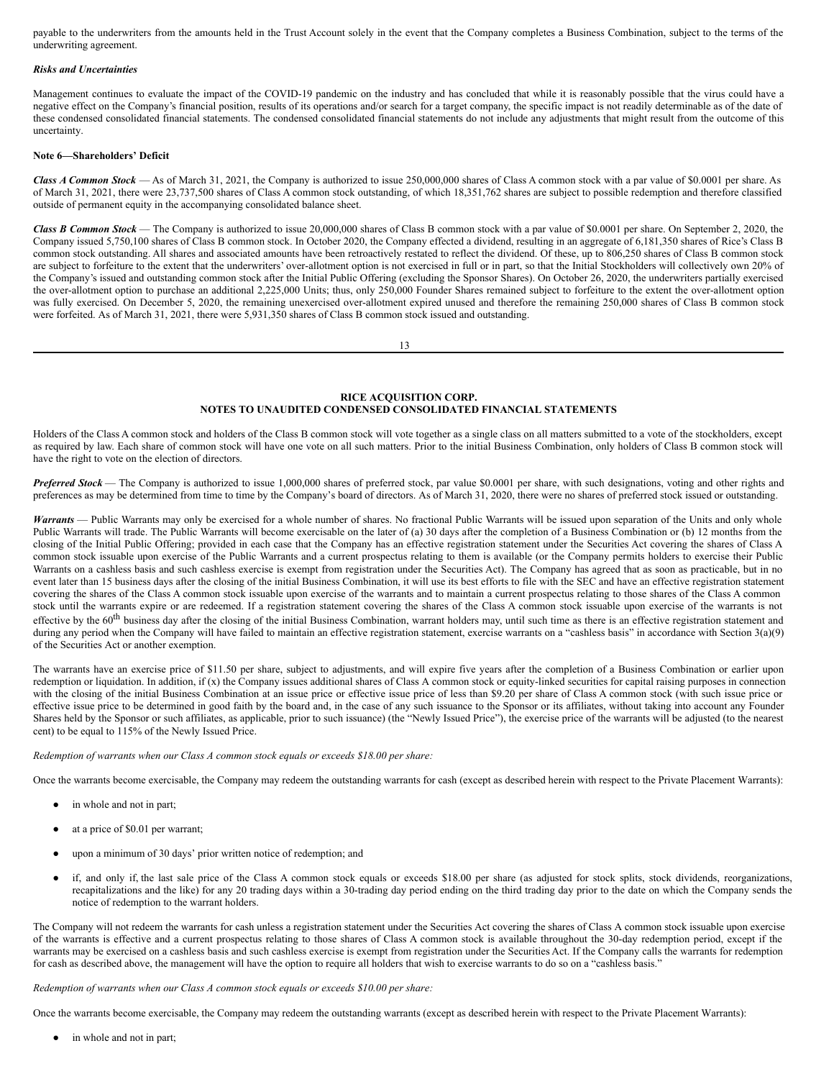payable to the underwriters from the amounts held in the Trust Account solely in the event that the Company completes a Business Combination, subject to the terms of the underwriting agreement.

#### *Risks and Uncertainties*

Management continues to evaluate the impact of the COVID-19 pandemic on the industry and has concluded that while it is reasonably possible that the virus could have a negative effect on the Company's financial position, results of its operations and/or search for a target company, the specific impact is not readily determinable as of the date of these condensed consolidated financial statements. The condensed consolidated financial statements do not include any adjustments that might result from the outcome of this uncertainty.

### **Note 6—Shareholders' Deficit**

*Class A Common Stock* — As of March 31, 2021, the Company is authorized to issue 250,000,000 shares of Class A common stock with a par value of \$0.0001 per share. As of March 31, 2021, there were 23,737,500 shares of Class A common stock outstanding, of which 18,351,762 shares are subject to possible redemption and therefore classified outside of permanent equity in the accompanying consolidated balance sheet.

*Class B Common Stock* — The Company is authorized to issue 20,000,000 shares of Class B common stock with a par value of \$0.0001 per share. On September 2, 2020, the Company issued 5,750,100 shares of Class B common stock. In October 2020, the Company effected a dividend, resulting in an aggregate of 6,181,350 shares of Rice's Class B common stock outstanding. All shares and associated amounts have been retroactively restated to reflect the dividend. Of these, up to 806,250 shares of Class B common stock are subject to forfeiture to the extent that the underwriters' over-allotment option is not exercised in full or in part, so that the Initial Stockholders will collectively own 20% of the Company's issued and outstanding common stock after the Initial Public Offering (excluding the Sponsor Shares). On October 26, 2020, the underwriters partially exercised the over-allotment option to purchase an additional 2,225,000 Units; thus, only 250,000 Founder Shares remained subject to forfeiture to the extent the over-allotment option was fully exercised. On December 5, 2020, the remaining unexercised over-allotment expired unused and therefore the remaining 250,000 shares of Class B common stock were forfeited. As of March 31, 2021, there were 5,931,350 shares of Class B common stock issued and outstanding.

13

## **RICE ACQUISITION CORP. NOTES TO UNAUDITED CONDENSED CONSOLIDATED FINANCIAL STATEMENTS**

Holders of the Class A common stock and holders of the Class B common stock will vote together as a single class on all matters submitted to a vote of the stockholders, except as required by law. Each share of common stock will have one vote on all such matters. Prior to the initial Business Combination, only holders of Class B common stock will have the right to vote on the election of directors.

*Preferred Stock* — The Company is authorized to issue 1,000,000 shares of preferred stock, par value \$0.0001 per share, with such designations, voting and other rights and preferences as may be determined from time to time by the Company's board of directors. As of March 31, 2020, there were no shares of preferred stock issued or outstanding.

*Warrants* — Public Warrants may only be exercised for a whole number of shares. No fractional Public Warrants will be issued upon separation of the Units and only whole Public Warrants will trade. The Public Warrants will become exercisable on the later of (a) 30 days after the completion of a Business Combination or (b) 12 months from the closing of the Initial Public Offering; provided in each case that the Company has an effective registration statement under the Securities Act covering the shares of Class A common stock issuable upon exercise of the Public Warrants and a current prospectus relating to them is available (or the Company permits holders to exercise their Public Warrants on a cashless basis and such cashless exercise is exempt from registration under the Securities Act). The Company has agreed that as soon as practicable, but in no event later than 15 business days after the closing of the initial Business Combination, it will use its best efforts to file with the SEC and have an effective registration statement covering the shares of the Class A common stock issuable upon exercise of the warrants and to maintain a current prospectus relating to those shares of the Class A common stock until the warrants expire or are redeemed. If a registration statement covering the shares of the Class A common stock issuable upon exercise of the warrants is not effective by the  $60^{\text{th}}$  business day after the closing of the initial Business Combination, warrant holders may, until such time as there is an effective registration statement and during any period when the Company will have failed to maintain an effective registration statement, exercise warrants on a "cashless basis" in accordance with Section 3(a)(9) of the Securities Act or another exemption.

The warrants have an exercise price of \$11.50 per share, subject to adjustments, and will expire five years after the completion of a Business Combination or earlier upon redemption or liquidation. In addition, if (x) the Company issues additional shares of Class A common stock or equity-linked securities for capital raising purposes in connection with the closing of the initial Business Combination at an issue price or effective issue price of less than \$9.20 per share of Class A common stock (with such issue price or effective issue price to be determined in good faith by the board and, in the case of any such issuance to the Sponsor or its affiliates, without taking into account any Founder Shares held by the Sponsor or such affiliates, as applicable, prior to such issuance) (the "Newly Issued Price"), the exercise price of the warrants will be adjusted (to the nearest cent) to be equal to 115% of the Newly Issued Price.

## *Redemption of warrants when our Class A common stock equals or exceeds \$18.00 per share:*

Once the warrants become exercisable, the Company may redeem the outstanding warrants for cash (except as described herein with respect to the Private Placement Warrants):

- in whole and not in part;
- at a price of \$0.01 per warrant;
- upon a minimum of 30 days' prior written notice of redemption; and
- if, and only if, the last sale price of the Class A common stock equals or exceeds \$18.00 per share (as adjusted for stock splits, stock dividends, reorganizations, recapitalizations and the like) for any 20 trading days within a 30-trading day period ending on the third trading day prior to the date on which the Company sends the notice of redemption to the warrant holders.

The Company will not redeem the warrants for cash unless a registration statement under the Securities Act covering the shares of Class A common stock issuable upon exercise of the warrants is effective and a current prospectus relating to those shares of Class A common stock is available throughout the 30-day redemption period, except if the warrants may be exercised on a cashless basis and such cashless exercise is exempt from registration under the Securities Act. If the Company calls the warrants for redemption for cash as described above, the management will have the option to require all holders that wish to exercise warrants to do so on a "cashless basis."

*Redemption of warrants when our Class A common stock equals or exceeds \$10.00 per share:*

Once the warrants become exercisable, the Company may redeem the outstanding warrants (except as described herein with respect to the Private Placement Warrants):

• in whole and not in part: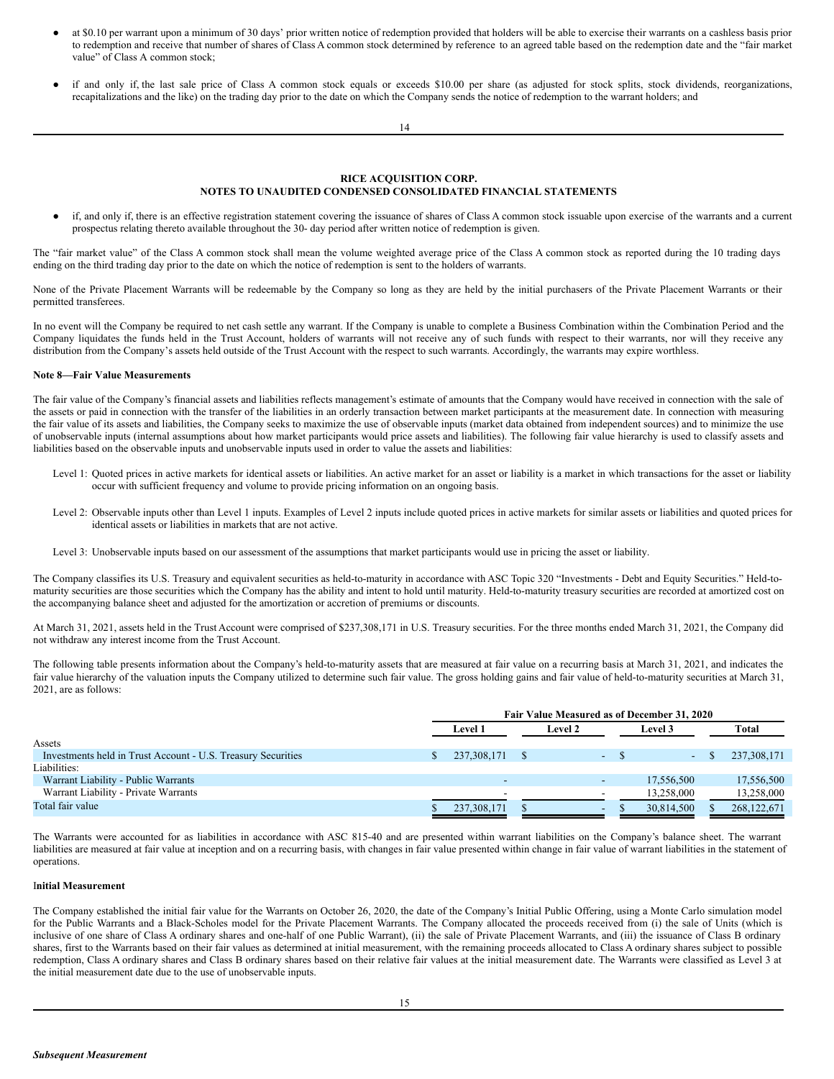- at \$0.10 per warrant upon a minimum of 30 days' prior written notice of redemption provided that holders will be able to exercise their warrants on a cashless basis prior to redemption and receive that number of shares of Class A common stock determined by reference to an agreed table based on the redemption date and the "fair market value" of Class A common stock;
- if and only if, the last sale price of Class A common stock equals or exceeds \$10.00 per share (as adjusted for stock splits, stock dividends, reorganizations, recapitalizations and the like) on the trading day prior to the date on which the Company sends the notice of redemption to the warrant holders; and

14

## **RICE ACQUISITION CORP. NOTES TO UNAUDITED CONDENSED CONSOLIDATED FINANCIAL STATEMENTS**

if, and only if, there is an effective registration statement covering the issuance of shares of Class A common stock issuable upon exercise of the warrants and a current prospectus relating thereto available throughout the 30- day period after written notice of redemption is given.

The "fair market value" of the Class A common stock shall mean the volume weighted average price of the Class A common stock as reported during the 10 trading days ending on the third trading day prior to the date on which the notice of redemption is sent to the holders of warrants.

None of the Private Placement Warrants will be redeemable by the Company so long as they are held by the initial purchasers of the Private Placement Warrants or their permitted transferees.

In no event will the Company be required to net cash settle any warrant. If the Company is unable to complete a Business Combination within the Combination Period and the Company liquidates the funds held in the Trust Account, holders of warrants will not receive any of such funds with respect to their warrants, nor will they receive any distribution from the Company's assets held outside of the Trust Account with the respect to such warrants. Accordingly, the warrants may expire worthless.

## **Note 8—Fair Value Measurements**

The fair value of the Company's financial assets and liabilities reflects management's estimate of amounts that the Company would have received in connection with the sale of the assets or paid in connection with the transfer of the liabilities in an orderly transaction between market participants at the measurement date. In connection with measuring the fair value of its assets and liabilities, the Company seeks to maximize the use of observable inputs (market data obtained from independent sources) and to minimize the use of unobservable inputs (internal assumptions about how market participants would price assets and liabilities). The following fair value hierarchy is used to classify assets and liabilities based on the observable inputs and unobservable inputs used in order to value the assets and liabilities:

- Level 1: Quoted prices in active markets for identical assets or liabilities. An active market for an asset or liability is a market in which transactions for the asset or liability occur with sufficient frequency and volume to provide pricing information on an ongoing basis.
- Level 2: Observable inputs other than Level 1 inputs. Examples of Level 2 inputs include quoted prices in active markets for similar assets or liabilities and quoted prices for identical assets or liabilities in markets that are not active.
- Level 3: Unobservable inputs based on our assessment of the assumptions that market participants would use in pricing the asset or liability.

The Company classifies its U.S. Treasury and equivalent securities as held-to-maturity in accordance with ASC Topic 320 "Investments - Debt and Equity Securities." Held-tomaturity securities are those securities which the Company has the ability and intent to hold until maturity. Held-to-maturity treasury securities are recorded at amortized cost on the accompanying balance sheet and adjusted for the amortization or accretion of premiums or discounts.

At March 31, 2021, assets held in the Trust Account were comprised of \$237,308,171 in U.S. Treasury securities. For the three months ended March 31, 2021, the Company did not withdraw any interest income from the Trust Account.

The following table presents information about the Company's held-to-maturity assets that are measured at fair value on a recurring basis at March 31, 2021, and indicates the fair value hierarchy of the valuation inputs the Company utilized to determine such fair value. The gross holding gains and fair value of held-to-maturity securities at March 31, 2021, are as follows:

|                                                              | Fair Value Measured as of December 31, 2020        |               |  |  |                          |       |            |  |               |  |
|--------------------------------------------------------------|----------------------------------------------------|---------------|--|--|--------------------------|-------|------------|--|---------------|--|
|                                                              | <b>Level 2</b><br><b>Level 3</b><br><b>Level 1</b> |               |  |  |                          | Total |            |  |               |  |
| Assets                                                       |                                                    |               |  |  |                          |       |            |  |               |  |
| Investments held in Trust Account - U.S. Treasury Securities |                                                    | 237,308,171   |  |  | $\sim 100$               |       | $\sim$     |  | 237, 308, 171 |  |
| Liabilities:                                                 |                                                    |               |  |  |                          |       |            |  |               |  |
| Warrant Liability - Public Warrants                          |                                                    |               |  |  | -                        |       | 17.556.500 |  | 17,556,500    |  |
| Warrant Liability - Private Warrants                         |                                                    |               |  |  | $\overline{\phantom{0}}$ |       | 13.258,000 |  | 13,258,000    |  |
| Total fair value                                             |                                                    | 237, 308, 171 |  |  | $\overline{\phantom{a}}$ |       | 30,814,500 |  | 268, 122, 671 |  |

The Warrants were accounted for as liabilities in accordance with ASC 815-40 and are presented within warrant liabilities on the Company's balance sheet. The warrant liabilities are measured at fair value at inception and on a recurring basis, with changes in fair value presented within change in fair value of warrant liabilities in the statement of operations.

## I**nitial Measurement**

The Company established the initial fair value for the Warrants on October 26, 2020, the date of the Company's Initial Public Offering, using a Monte Carlo simulation model for the Public Warrants and a Black-Scholes model for the Private Placement Warrants. The Company allocated the proceeds received from (i) the sale of Units (which is inclusive of one share of Class A ordinary shares and one-half of one Public Warrant), (ii) the sale of Private Placement Warrants, and (iii) the issuance of Class B ordinary shares, first to the Warrants based on their fair values as determined at initial measurement, with the remaining proceeds allocated to Class A ordinary shares subject to possible redemption, Class A ordinary shares and Class B ordinary shares based on their relative fair values at the initial measurement date. The Warrants were classified as Level 3 at the initial measurement date due to the use of unobservable inputs.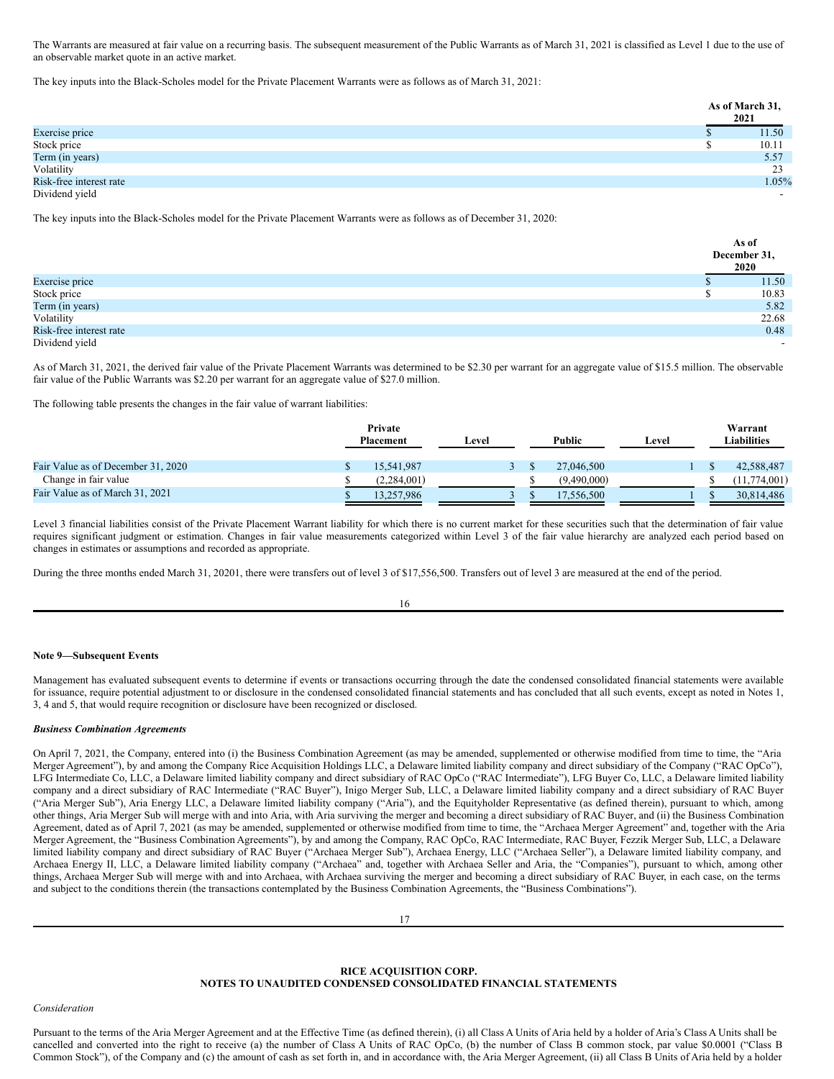The Warrants are measured at fair value on a recurring basis. The subsequent measurement of the Public Warrants as of March 31, 2021 is classified as Level 1 due to the use of an observable market quote in an active market.

The key inputs into the Black-Scholes model for the Private Placement Warrants were as follows as of March 31, 2021:

|                         | As of March 31,          |
|-------------------------|--------------------------|
|                         | 2021                     |
| Exercise price          | 11.50                    |
| Stock price             | 10.11                    |
| Term (in years)         | 5.57                     |
| Volatility              | 2 <sup>2</sup><br>ر ے    |
| Risk-free interest rate | 1.05%                    |
| Dividend yield          | $\overline{\phantom{0}}$ |

The key inputs into the Black-Scholes model for the Private Placement Warrants were as follows as of December 31, 2020:

|                         | As of<br>December 31,<br>2020 |
|-------------------------|-------------------------------|
| Exercise price          | 11.50                         |
| Stock price             | 10.83                         |
| Term (in years)         | 5.82                          |
| Volatility              | 22.68                         |
| Risk-free interest rate | 0.48                          |
| Dividend yield          | $\overline{\phantom{0}}$      |

As of March 31, 2021, the derived fair value of the Private Placement Warrants was determined to be \$2.30 per warrant for an aggregate value of \$15.5 million. The observable fair value of the Public Warrants was \$2.20 per warrant for an aggregate value of \$27.0 million.

The following table presents the changes in the fair value of warrant liabilities:

|                                    |  | Private<br><b>Placement</b><br>Level |  |  |  | Public      | Level |  | Warrant<br>Liabilities |
|------------------------------------|--|--------------------------------------|--|--|--|-------------|-------|--|------------------------|
| Fair Value as of December 31, 2020 |  | 15.541.987                           |  |  |  | 27,046,500  |       |  | 42,588,487             |
| Change in fair value               |  | (2.284.001)                          |  |  |  | (9,490,000) |       |  | (11.774.001)           |
| Fair Value as of March 31, 2021    |  | 13.257.986                           |  |  |  | 17.556.500  |       |  | 30.814.486             |

Level 3 financial liabilities consist of the Private Placement Warrant liability for which there is no current market for these securities such that the determination of fair value requires significant judgment or estimation. Changes in fair value measurements categorized within Level 3 of the fair value hierarchy are analyzed each period based on changes in estimates or assumptions and recorded as appropriate.

During the three months ended March 31, 20201, there were transfers out of level 3 of \$17,556,500. Transfers out of level 3 are measured at the end of the period.

## **Note 9—Subsequent Events**

Management has evaluated subsequent events to determine if events or transactions occurring through the date the condensed consolidated financial statements were available for issuance, require potential adjustment to or disclosure in the condensed consolidated financial statements and has concluded that all such events, except as noted in Notes 1, 3, 4 and 5, that would require recognition or disclosure have been recognized or disclosed.

## *Business Combination Agreements*

On April 7, 2021, the Company, entered into (i) the Business Combination Agreement (as may be amended, supplemented or otherwise modified from time to time, the "Aria Merger Agreement"), by and among the Company Rice Acquisition Holdings LLC, a Delaware limited liability company and direct subsidiary of the Company ("RAC OpCo"), LFG Intermediate Co, LLC, a Delaware limited liability company and direct subsidiary of RAC OpCo ("RAC Intermediate"), LFG Buyer Co, LLC, a Delaware limited liability company and a direct subsidiary of RAC Intermediate ("RAC Buyer"), Inigo Merger Sub, LLC, a Delaware limited liability company and a direct subsidiary of RAC Buyer ("Aria Merger Sub"), Aria Energy LLC, a Delaware limited liability company ("Aria"), and the Equityholder Representative (as defined therein), pursuant to which, among other things, Aria Merger Sub will merge with and into Aria, with Aria surviving the merger and becoming a direct subsidiary of RAC Buyer, and (ii) the Business Combination Agreement, dated as of April 7, 2021 (as may be amended, supplemented or otherwise modified from time to time, the "Archaea Merger Agreement" and, together with the Aria Merger Agreement, the "Business Combination Agreements"), by and among the Company, RAC OpCo, RAC Intermediate, RAC Buyer, Fezzik Merger Sub, LLC, a Delaware limited liability company and direct subsidiary of RAC Buyer ("Archaea Merger Sub"), Archaea Energy, LLC ("Archaea Seller"), a Delaware limited liability company, and Archaea Energy II, LLC, a Delaware limited liability company ("Archaea" and, together with Archaea Seller and Aria, the "Companies"), pursuant to which, among other things, Archaea Merger Sub will merge with and into Archaea, with Archaea surviving the merger and becoming a direct subsidiary of RAC Buyer, in each case, on the terms and subject to the conditions therein (the transactions contemplated by the Business Combination Agreements, the "Business Combinations").

## **RICE ACQUISITION CORP. NOTES TO UNAUDITED CONDENSED CONSOLIDATED FINANCIAL STATEMENTS**

*Consideration*

Pursuant to the terms of the Aria Merger Agreement and at the Effective Time (as defined therein), (i) all Class A Units of Aria held by a holder of Aria's Class A Units shall be cancelled and converted into the right to receive (a) the number of Class A Units of RAC OpCo, (b) the number of Class B common stock, par value \$0.0001 ("Class B Common Stock"), of the Company and (c) the amount of cash as set forth in, and in accordance with, the Aria Merger Agreement, (ii) all Class B Units of Aria held by a holder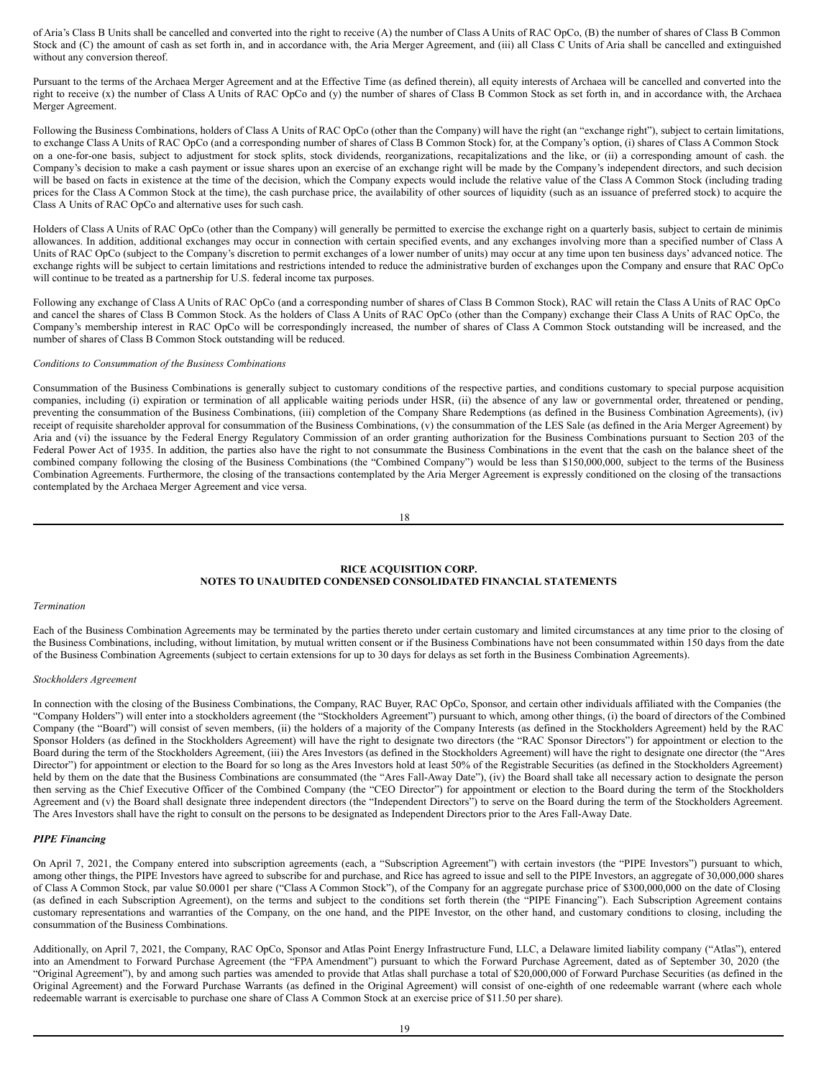of Aria's Class B Units shall be cancelled and converted into the right to receive (A) the number of Class A Units of RAC OpCo, (B) the number of shares of Class B Common Stock and (C) the amount of cash as set forth in, and in accordance with, the Aria Merger Agreement, and (iii) all Class C Units of Aria shall be cancelled and extinguished without any conversion thereof.

Pursuant to the terms of the Archaea Merger Agreement and at the Effective Time (as defined therein), all equity interests of Archaea will be cancelled and converted into the right to receive (x) the number of Class A Units of RAC OpCo and (y) the number of shares of Class B Common Stock as set forth in, and in accordance with, the Archaea Merger Agreement.

Following the Business Combinations, holders of Class A Units of RAC OpCo (other than the Company) will have the right (an "exchange right"), subject to certain limitations, to exchange Class A Units of RAC OpCo (and a corresponding number of shares of Class B Common Stock) for, at the Company's option, (i) shares of Class A Common Stock on a one-for-one basis, subject to adjustment for stock splits, stock dividends, reorganizations, recapitalizations and the like, or (ii) a corresponding amount of cash. the Company's decision to make a cash payment or issue shares upon an exercise of an exchange right will be made by the Company's independent directors, and such decision will be based on facts in existence at the time of the decision, which the Company expects would include the relative value of the Class A Common Stock (including trading prices for the Class A Common Stock at the time), the cash purchase price, the availability of other sources of liquidity (such as an issuance of preferred stock) to acquire the Class A Units of RAC OpCo and alternative uses for such cash.

Holders of Class A Units of RAC OpCo (other than the Company) will generally be permitted to exercise the exchange right on a quarterly basis, subject to certain de minimis allowances. In addition, additional exchanges may occur in connection with certain specified events, and any exchanges involving more than a specified number of Class A Units of RAC OpCo (subject to the Company's discretion to permit exchanges of a lower number of units) may occur at any time upon ten business days' advanced notice. The exchange rights will be subject to certain limitations and restrictions intended to reduce the administrative burden of exchanges upon the Company and ensure that RAC OpCo will continue to be treated as a partnership for U.S. federal income tax purposes.

Following any exchange of Class A Units of RAC OpCo (and a corresponding number of shares of Class B Common Stock), RAC will retain the Class A Units of RAC OpCo and cancel the shares of Class B Common Stock. As the holders of Class A Units of RAC OpCo (other than the Company) exchange their Class A Units of RAC OpCo, the Company's membership interest in RAC OpCo will be correspondingly increased, the number of shares of Class A Common Stock outstanding will be increased, and the number of shares of Class B Common Stock outstanding will be reduced.

#### *Conditions to Consummation of the Business Combinations*

Consummation of the Business Combinations is generally subject to customary conditions of the respective parties, and conditions customary to special purpose acquisition companies, including (i) expiration or termination of all applicable waiting periods under HSR, (ii) the absence of any law or governmental order, threatened or pending, preventing the consummation of the Business Combinations, (iii) completion of the Company Share Redemptions (as defined in the Business Combination Agreements), (iv) receipt of requisite shareholder approval for consummation of the Business Combinations, (v) the consummation of the LES Sale (as defined in the Aria Merger Agreement) by Aria and (vi) the issuance by the Federal Energy Regulatory Commission of an order granting authorization for the Business Combinations pursuant to Section 203 of the Federal Power Act of 1935. In addition, the parties also have the right to not consummate the Business Combinations in the event that the cash on the balance sheet of the combined company following the closing of the Business Combinations (the "Combined Company") would be less than \$150,000,000, subject to the terms of the Business Combination Agreements. Furthermore, the closing of the transactions contemplated by the Aria Merger Agreement is expressly conditioned on the closing of the transactions contemplated by the Archaea Merger Agreement and vice versa.

18

## **RICE ACQUISITION CORP. NOTES TO UNAUDITED CONDENSED CONSOLIDATED FINANCIAL STATEMENTS**

#### *Termination*

Each of the Business Combination Agreements may be terminated by the parties thereto under certain customary and limited circumstances at any time prior to the closing of the Business Combinations, including, without limitation, by mutual written consent or if the Business Combinations have not been consummated within 150 days from the date of the Business Combination Agreements (subject to certain extensions for up to 30 days for delays as set forth in the Business Combination Agreements).

## *Stockholders Agreement*

In connection with the closing of the Business Combinations, the Company, RAC Buyer, RAC OpCo, Sponsor, and certain other individuals affiliated with the Companies (the "Company Holders") will enter into a stockholders agreement (the "Stockholders Agreement") pursuant to which, among other things, (i) the board of directors of the Combined Company (the "Board") will consist of seven members, (ii) the holders of a majority of the Company Interests (as defined in the Stockholders Agreement) held by the RAC Sponsor Holders (as defined in the Stockholders Agreement) will have the right to designate two directors (the "RAC Sponsor Directors") for appointment or election to the Board during the term of the Stockholders Agreement, (iii) the Ares Investors (as defined in the Stockholders Agreement) will have the right to designate one director (the "Ares Director") for appointment or election to the Board for so long as the Ares Investors hold at least 50% of the Registrable Securities (as defined in the Stockholders Agreement) held by them on the date that the Business Combinations are consummated (the "Ares Fall-Away Date"), (iv) the Board shall take all necessary action to designate the person then serving as the Chief Executive Officer of the Combined Company (the "CEO Director") for appointment or election to the Board during the term of the Stockholders Agreement and (v) the Board shall designate three independent directors (the "Independent Directors") to serve on the Board during the term of the Stockholders Agreement. The Ares Investors shall have the right to consult on the persons to be designated as Independent Directors prior to the Ares Fall-Away Date.

## *PIPE Financing*

On April 7, 2021, the Company entered into subscription agreements (each, a "Subscription Agreement") with certain investors (the "PIPE Investors") pursuant to which, among other things, the PIPE Investors have agreed to subscribe for and purchase, and Rice has agreed to issue and sell to the PIPE Investors, an aggregate of 30,000,000 shares of Class A Common Stock, par value \$0.0001 per share ("Class A Common Stock"), of the Company for an aggregate purchase price of \$300,000,000 on the date of Closing (as defined in each Subscription Agreement), on the terms and subject to the conditions set forth therein (the "PIPE Financing"). Each Subscription Agreement contains customary representations and warranties of the Company, on the one hand, and the PIPE Investor, on the other hand, and customary conditions to closing, including the consummation of the Business Combinations.

Additionally, on April 7, 2021, the Company, RAC OpCo, Sponsor and Atlas Point Energy Infrastructure Fund, LLC, a Delaware limited liability company ("Atlas"), entered into an Amendment to Forward Purchase Agreement (the "FPA Amendment") pursuant to which the Forward Purchase Agreement, dated as of September 30, 2020 (the "Original Agreement"), by and among such parties was amended to provide that Atlas shall purchase a total of \$20,000,000 of Forward Purchase Securities (as defined in the Original Agreement) and the Forward Purchase Warrants (as defined in the Original Agreement) will consist of one-eighth of one redeemable warrant (where each whole redeemable warrant is exercisable to purchase one share of Class A Common Stock at an exercise price of \$11.50 per share).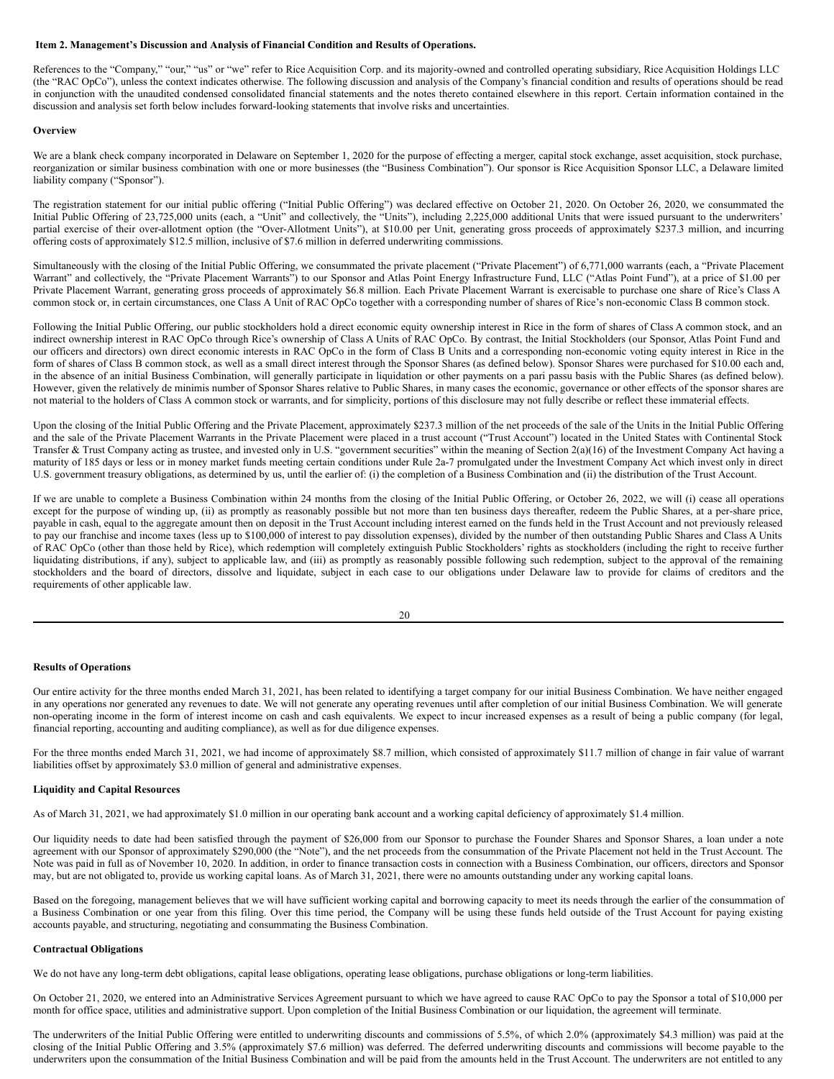#### <span id="page-14-0"></span>**Item 2. Management's Discussion and Analysis of Financial Condition and Results of Operations.**

References to the "Company," "our," "us" or "we" refer to Rice Acquisition Corp. and its majority-owned and controlled operating subsidiary, Rice Acquisition Holdings LLC (the "RAC OpCo"), unless the context indicates otherwise. The following discussion and analysis of the Company's financial condition and results of operations should be read in conjunction with the unaudited condensed consolidated financial statements and the notes thereto contained elsewhere in this report. Certain information contained in the discussion and analysis set forth below includes forward-looking statements that involve risks and uncertainties.

#### **Overview**

We are a blank check company incorporated in Delaware on September 1, 2020 for the purpose of effecting a merger, capital stock exchange, asset acquisition, stock purchase, reorganization or similar business combination with one or more businesses (the "Business Combination"). Our sponsor is Rice Acquisition Sponsor LLC, a Delaware limited liability company ("Sponsor").

The registration statement for our initial public offering ("Initial Public Offering") was declared effective on October 21, 2020. On October 26, 2020, we consummated the Initial Public Offering of 23,725,000 units (each, a "Unit" and collectively, the "Units"), including 2,225,000 additional Units that were issued pursuant to the underwriters' partial exercise of their over-allotment option (the "Over-Allotment Units"), at \$10.00 per Unit, generating gross proceeds of approximately \$237.3 million, and incurring offering costs of approximately \$12.5 million, inclusive of \$7.6 million in deferred underwriting commissions.

Simultaneously with the closing of the Initial Public Offering, we consummated the private placement ("Private Placement") of 6,771,000 warrants (each, a "Private Placement Warrant" and collectively, the "Private Placement Warrants") to our Sponsor and Atlas Point Energy Infrastructure Fund, LLC ("Atlas Point Fund"), at a price of \$1.00 per Private Placement Warrant, generating gross proceeds of approximately \$6.8 million. Each Private Placement Warrant is exercisable to purchase one share of Rice's Class A common stock or, in certain circumstances, one Class A Unit of RAC OpCo together with a corresponding number of shares of Rice's non-economic Class B common stock.

Following the Initial Public Offering, our public stockholders hold a direct economic equity ownership interest in Rice in the form of shares of Class A common stock, and an indirect ownership interest in RAC OpCo through Rice's ownership of Class A Units of RAC OpCo. By contrast, the Initial Stockholders (our Sponsor, Atlas Point Fund and our officers and directors) own direct economic interests in RAC OpCo in the form of Class B Units and a corresponding non-economic voting equity interest in Rice in the form of shares of Class B common stock, as well as a small direct interest through the Sponsor Shares (as defined below). Sponsor Shares were purchased for \$10.00 each and, in the absence of an initial Business Combination, will generally participate in liquidation or other payments on a pari passu basis with the Public Shares (as defined below). However, given the relatively de minimis number of Sponsor Shares relative to Public Shares, in many cases the economic, governance or other effects of the sponsor shares are not material to the holders of Class A common stock or warrants, and for simplicity, portions of this disclosure may not fully describe or reflect these immaterial effects.

Upon the closing of the Initial Public Offering and the Private Placement, approximately \$237.3 million of the net proceeds of the sale of the Units in the Initial Public Offering and the sale of the Private Placement Warrants in the Private Placement were placed in a trust account ("Trust Account") located in the United States with Continental Stock Transfer & Trust Company acting as trustee, and invested only in U.S. "government securities" within the meaning of Section 2(a)(16) of the Investment Company Act having a maturity of 185 days or less or in money market funds meeting certain conditions under Rule 2a-7 promulgated under the Investment Company Act which invest only in direct U.S. government treasury obligations, as determined by us, until the earlier of: (i) the completion of a Business Combination and (ii) the distribution of the Trust Account.

If we are unable to complete a Business Combination within 24 months from the closing of the Initial Public Offering, or October 26, 2022, we will (i) cease all operations except for the purpose of winding up, (ii) as promptly as reasonably possible but not more than ten business days thereafter, redeem the Public Shares, at a per-share price, payable in cash, equal to the aggregate amount then on deposit in the Trust Account including interest earned on the funds held in the Trust Account and not previously released to pay our franchise and income taxes (less up to \$100,000 of interest to pay dissolution expenses), divided by the number of then outstanding Public Shares and Class A Units of RAC OpCo (other than those held by Rice), which redemption will completely extinguish Public Stockholders' rights as stockholders (including the right to receive further liquidating distributions, if any), subject to applicable law, and (iii) as promptly as reasonably possible following such redemption, subject to the approval of the remaining stockholders and the board of directors, dissolve and liquidate, subject in each case to our obligations under Delaware law to provide for claims of creditors and the requirements of other applicable law.

| I | ٦<br>×<br>I |
|---|-------------|

#### **Results of Operations**

Our entire activity for the three months ended March 31, 2021, has been related to identifying a target company for our initial Business Combination. We have neither engaged in any operations nor generated any revenues to date. We will not generate any operating revenues until after completion of our initial Business Combination. We will generate non-operating income in the form of interest income on cash and cash equivalents. We expect to incur increased expenses as a result of being a public company (for legal, financial reporting, accounting and auditing compliance), as well as for due diligence expenses.

For the three months ended March 31, 2021, we had income of approximately \$8.7 million, which consisted of approximately \$11.7 million of change in fair value of warrant liabilities offset by approximately \$3.0 million of general and administrative expenses.

#### **Liquidity and Capital Resources**

As of March 31, 2021, we had approximately \$1.0 million in our operating bank account and a working capital deficiency of approximately \$1.4 million.

Our liquidity needs to date had been satisfied through the payment of \$26,000 from our Sponsor to purchase the Founder Shares and Sponsor Shares, a loan under a note agreement with our Sponsor of approximately \$290,000 (the "Note"), and the net proceeds from the consummation of the Private Placement not held in the Trust Account. The Note was paid in full as of November 10, 2020. In addition, in order to finance transaction costs in connection with a Business Combination, our officers, directors and Sponsor may, but are not obligated to, provide us working capital loans. As of March 31, 2021, there were no amounts outstanding under any working capital loans.

Based on the foregoing, management believes that we will have sufficient working capital and borrowing capacity to meet its needs through the earlier of the consummation of a Business Combination or one year from this filing. Over this time period, the Company will be using these funds held outside of the Trust Account for paying existing accounts payable, and structuring, negotiating and consummating the Business Combination.

### **Contractual Obligations**

We do not have any long-term debt obligations, capital lease obligations, operating lease obligations, purchase obligations or long-term liabilities.

On October 21, 2020, we entered into an Administrative Services Agreement pursuant to which we have agreed to cause RAC OpCo to pay the Sponsor a total of \$10,000 per month for office space, utilities and administrative support. Upon completion of the Initial Business Combination or our liquidation, the agreement will terminate.

The underwriters of the Initial Public Offering were entitled to underwriting discounts and commissions of 5.5%, of which 2.0% (approximately \$4.3 million) was paid at the closing of the Initial Public Offering and 3.5% (approximately \$7.6 million) was deferred. The deferred underwriting discounts and commissions will become payable to the underwriters upon the consummation of the Initial Business Combination and will be paid from the amounts held in the Trust Account. The underwriters are not entitled to any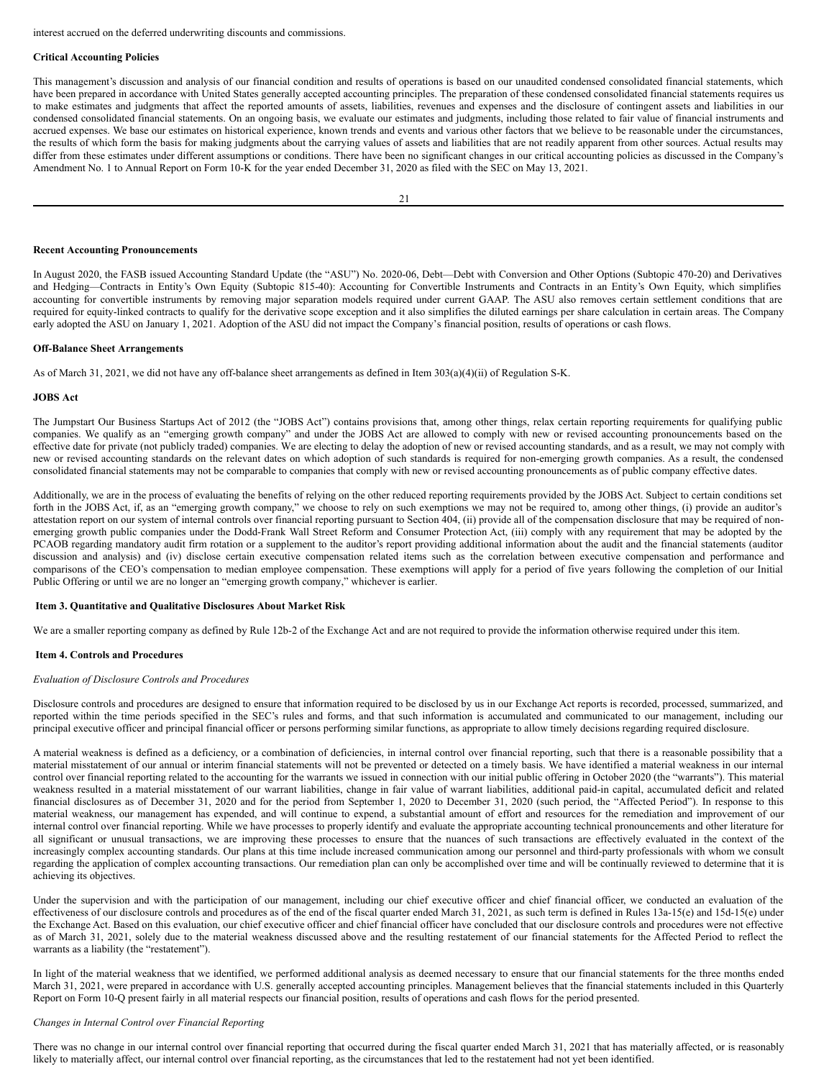### **Critical Accounting Policies**

This management's discussion and analysis of our financial condition and results of operations is based on our unaudited condensed consolidated financial statements, which have been prepared in accordance with United States generally accepted accounting principles. The preparation of these condensed consolidated financial statements requires us to make estimates and judgments that affect the reported amounts of assets, liabilities, revenues and expenses and the disclosure of contingent assets and liabilities in our condensed consolidated financial statements. On an ongoing basis, we evaluate our estimates and judgments, including those related to fair value of financial instruments and accrued expenses. We base our estimates on historical experience, known trends and events and various other factors that we believe to be reasonable under the circumstances, the results of which form the basis for making judgments about the carrying values of assets and liabilities that are not readily apparent from other sources. Actual results may differ from these estimates under different assumptions or conditions. There have been no significant changes in our critical accounting policies as discussed in the Company's Amendment No. 1 to Annual Report on Form 10-K for the year ended December 31, 2020 as filed with the SEC on May 13, 2021.

#### **Recent Accounting Pronouncements**

In August 2020, the FASB issued Accounting Standard Update (the "ASU") No. 2020-06, Debt—Debt with Conversion and Other Options (Subtopic 470-20) and Derivatives and Hedging—Contracts in Entity's Own Equity (Subtopic 815-40): Accounting for Convertible Instruments and Contracts in an Entity's Own Equity, which simplifies accounting for convertible instruments by removing major separation models required under current GAAP. The ASU also removes certain settlement conditions that are required for equity-linked contracts to qualify for the derivative scope exception and it also simplifies the diluted earnings per share calculation in certain areas. The Company early adopted the ASU on January 1, 2021. Adoption of the ASU did not impact the Company's financial position, results of operations or cash flows.

#### **Off-Balance Sheet Arrangements**

As of March 31, 2021, we did not have any off-balance sheet arrangements as defined in Item 303(a)(4)(ii) of Regulation S-K.

#### **JOBS Act**

The Jumpstart Our Business Startups Act of 2012 (the "JOBS Act") contains provisions that, among other things, relax certain reporting requirements for qualifying public companies. We qualify as an "emerging growth company" and under the JOBS Act are allowed to comply with new or revised accounting pronouncements based on the effective date for private (not publicly traded) companies. We are electing to delay the adoption of new or revised accounting standards, and as a result, we may not comply with new or revised accounting standards on the relevant dates on which adoption of such standards is required for non-emerging growth companies. As a result, the condensed consolidated financial statements may not be comparable to companies that comply with new or revised accounting pronouncements as of public company effective dates.

Additionally, we are in the process of evaluating the benefits of relying on the other reduced reporting requirements provided by the JOBS Act. Subject to certain conditions set forth in the JOBS Act, if, as an "emerging growth company," we choose to rely on such exemptions we may not be required to, among other things, (i) provide an auditor's attestation report on our system of internal controls over financial reporting pursuant to Section 404, (ii) provide all of the compensation disclosure that may be required of nonemerging growth public companies under the Dodd-Frank Wall Street Reform and Consumer Protection Act, (iii) comply with any requirement that may be adopted by the PCAOB regarding mandatory audit firm rotation or a supplement to the auditor's report providing additional information about the audit and the financial statements (auditor discussion and analysis) and (iv) disclose certain executive compensation related items such as the correlation between executive compensation and performance and comparisons of the CEO's compensation to median employee compensation. These exemptions will apply for a period of five years following the completion of our Initial Public Offering or until we are no longer an "emerging growth company," whichever is earlier.

### <span id="page-15-0"></span>**Item 3. Quantitative and Qualitative Disclosures About Market Risk**

We are a smaller reporting company as defined by Rule 12b-2 of the Exchange Act and are not required to provide the information otherwise required under this item.

#### <span id="page-15-1"></span>**Item 4. Controls and Procedures**

#### *Evaluation of Disclosure Controls and Procedures*

Disclosure controls and procedures are designed to ensure that information required to be disclosed by us in our Exchange Act reports is recorded, processed, summarized, and reported within the time periods specified in the SEC's rules and forms, and that such information is accumulated and communicated to our management, including our principal executive officer and principal financial officer or persons performing similar functions, as appropriate to allow timely decisions regarding required disclosure.

A material weakness is defined as a deficiency, or a combination of deficiencies, in internal control over financial reporting, such that there is a reasonable possibility that a material misstatement of our annual or interim financial statements will not be prevented or detected on a timely basis. We have identified a material weakness in our internal control over financial reporting related to the accounting for the warrants we issued in connection with our initial public offering in October 2020 (the "warrants"). This material weakness resulted in a material misstatement of our warrant liabilities, change in fair value of warrant liabilities, additional paid-in capital, accumulated deficit and related financial disclosures as of December 31, 2020 and for the period from September 1, 2020 to December 31, 2020 (such period, the "Affected Period"). In response to this material weakness, our management has expended, and will continue to expend, a substantial amount of effort and resources for the remediation and improvement of our internal control over financial reporting. While we have processes to properly identify and evaluate the appropriate accounting technical pronouncements and other literature for all significant or unusual transactions, we are improving these processes to ensure that the nuances of such transactions are effectively evaluated in the context of the increasingly complex accounting standards. Our plans at this time include increased communication among our personnel and third-party professionals with whom we consult regarding the application of complex accounting transactions. Our remediation plan can only be accomplished over time and will be continually reviewed to determine that it is achieving its objectives.

Under the supervision and with the participation of our management, including our chief executive officer and chief financial officer, we conducted an evaluation of the effectiveness of our disclosure controls and procedures as of the end of the fiscal quarter ended March 31, 2021, as such term is defined in Rules 13a-15(e) and 15d-15(e) under the Exchange Act. Based on this evaluation, our chief executive officer and chief financial officer have concluded that our disclosure controls and procedures were not effective as of March 31, 2021, solely due to the material weakness discussed above and the resulting restatement of our financial statements for the Affected Period to reflect the warrants as a liability (the "restatement").

In light of the material weakness that we identified, we performed additional analysis as deemed necessary to ensure that our financial statements for the three months ended March 31, 2021, were prepared in accordance with U.S. generally accepted accounting principles. Management believes that the financial statements included in this Quarterly Report on Form 10-Q present fairly in all material respects our financial position, results of operations and cash flows for the period presented.

#### *Changes in Internal Control over Financial Reporting*

There was no change in our internal control over financial reporting that occurred during the fiscal quarter ended March 31, 2021 that has materially affected, or is reasonably likely to materially affect, our internal control over financial reporting, as the circumstances that led to the restatement had not yet been identified.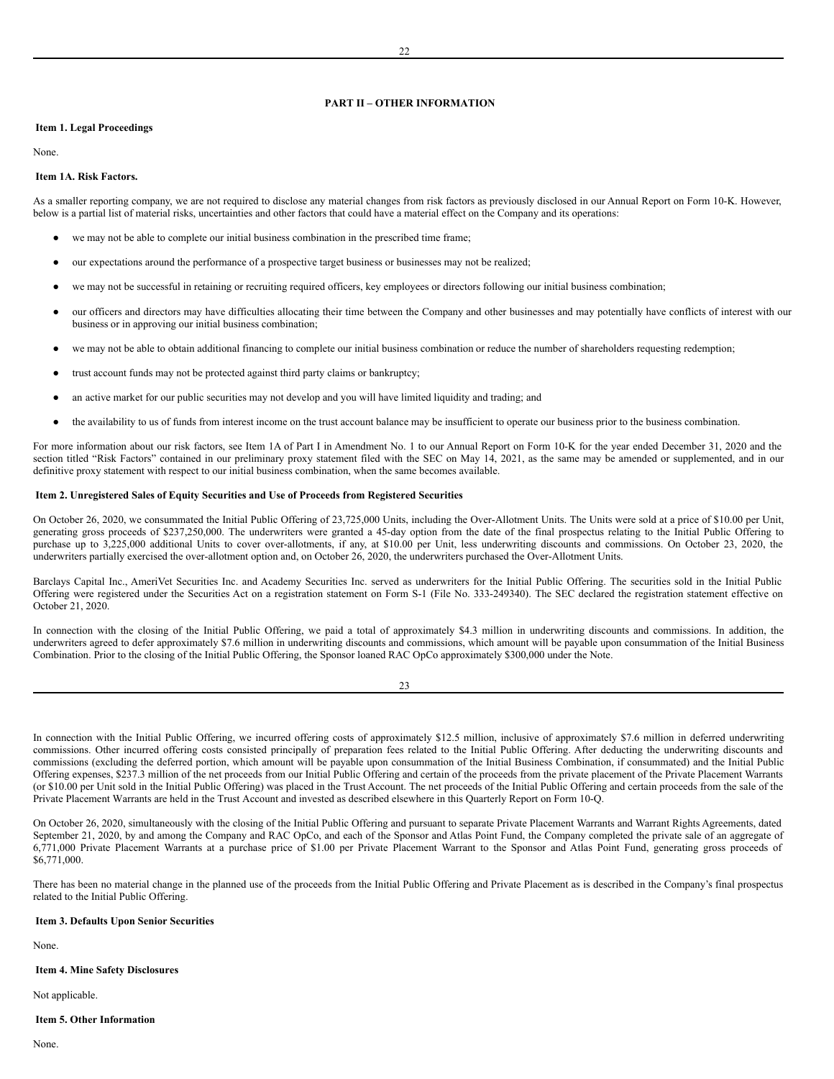# <span id="page-16-0"></span>**PART II – OTHER INFORMATION**

#### <span id="page-16-1"></span>**Item 1. Legal Proceedings**

None.

#### <span id="page-16-2"></span>**Item 1A. Risk Factors.**

As a smaller reporting company, we are not required to disclose any material changes from risk factors as previously disclosed in our Annual Report on Form 10-K. However, below is a partial list of material risks, uncertainties and other factors that could have a material effect on the Company and its operations:

- we may not be able to complete our initial business combination in the prescribed time frame;
- our expectations around the performance of a prospective target business or businesses may not be realized;
- we may not be successful in retaining or recruiting required officers, key employees or directors following our initial business combination;
- our officers and directors may have difficulties allocating their time between the Company and other businesses and may potentially have conflicts of interest with our business or in approving our initial business combination;
- we may not be able to obtain additional financing to complete our initial business combination or reduce the number of shareholders requesting redemption;
- trust account funds may not be protected against third party claims or bankruptcy;
- an active market for our public securities may not develop and you will have limited liquidity and trading; and
- the availability to us of funds from interest income on the trust account balance may be insufficient to operate our business prior to the business combination.

For more information about our risk factors, see Item 1A of Part I in Amendment No. 1 to our Annual Report on Form 10-K for the year ended December 31, 2020 and the section titled "Risk Factors" contained in our preliminary proxy statement filed with the SEC on May 14, 2021, as the same may be amended or supplemented, and in our definitive proxy statement with respect to our initial business combination, when the same becomes available.

### <span id="page-16-3"></span>**Item 2. Unregistered Sales of Equity Securities and Use of Proceeds from Registered Securities**

On October 26, 2020, we consummated the Initial Public Offering of 23,725,000 Units, including the Over-Allotment Units. The Units were sold at a price of \$10.00 per Unit, generating gross proceeds of \$237,250,000. The underwriters were granted a 45-day option from the date of the final prospectus relating to the Initial Public Offering to purchase up to 3,225,000 additional Units to cover over-allotments, if any, at \$10.00 per Unit, less underwriting discounts and commissions. On October 23, 2020, the underwriters partially exercised the over-allotment option and, on October 26, 2020, the underwriters purchased the Over-Allotment Units.

Barclays Capital Inc., AmeriVet Securities Inc. and Academy Securities Inc. served as underwriters for the Initial Public Offering. The securities sold in the Initial Public Offering were registered under the Securities Act on a registration statement on Form S-1 (File No. 333-249340). The SEC declared the registration statement effective on October 21, 2020.

In connection with the closing of the Initial Public Offering, we paid a total of approximately \$4.3 million in underwriting discounts and commissions. In addition, the underwriters agreed to defer approximately \$7.6 million in underwriting discounts and commissions, which amount will be payable upon consummation of the Initial Business Combination. Prior to the closing of the Initial Public Offering, the Sponsor loaned RAC OpCo approximately \$300,000 under the Note.

In connection with the Initial Public Offering, we incurred offering costs of approximately \$12.5 million, inclusive of approximately \$7.6 million in deferred underwriting commissions. Other incurred offering costs consisted principally of preparation fees related to the Initial Public Offering. After deducting the underwriting discounts and commissions (excluding the deferred portion, which amount will be payable upon consummation of the Initial Business Combination, if consummated) and the Initial Public Offering expenses, \$237.3 million of the net proceeds from our Initial Public Offering and certain of the proceeds from the private placement of the Private Placement Warrants (or \$10.00 per Unit sold in the Initial Public Offering) was placed in the Trust Account. The net proceeds of the Initial Public Offering and certain proceeds from the sale of the Private Placement Warrants are held in the Trust Account and invested as described elsewhere in this Quarterly Report on Form 10-Q.

On October 26, 2020, simultaneously with the closing of the Initial Public Offering and pursuant to separate Private Placement Warrants and Warrant Rights Agreements, dated September 21, 2020, by and among the Company and RAC OpCo, and each of the Sponsor and Atlas Point Fund, the Company completed the private sale of an aggregate of 6,771,000 Private Placement Warrants at a purchase price of \$1.00 per Private Placement Warrant to the Sponsor and Atlas Point Fund, generating gross proceeds of \$6,771,000.

There has been no material change in the planned use of the proceeds from the Initial Public Offering and Private Placement as is described in the Company's final prospectus related to the Initial Public Offering.

## <span id="page-16-4"></span>**Item 3. Defaults Upon Senior Securities**

None.

## <span id="page-16-5"></span>**Item 4. Mine Safety Disclosures**

Not applicable.

# <span id="page-16-6"></span>**Item 5. Other Information**

None.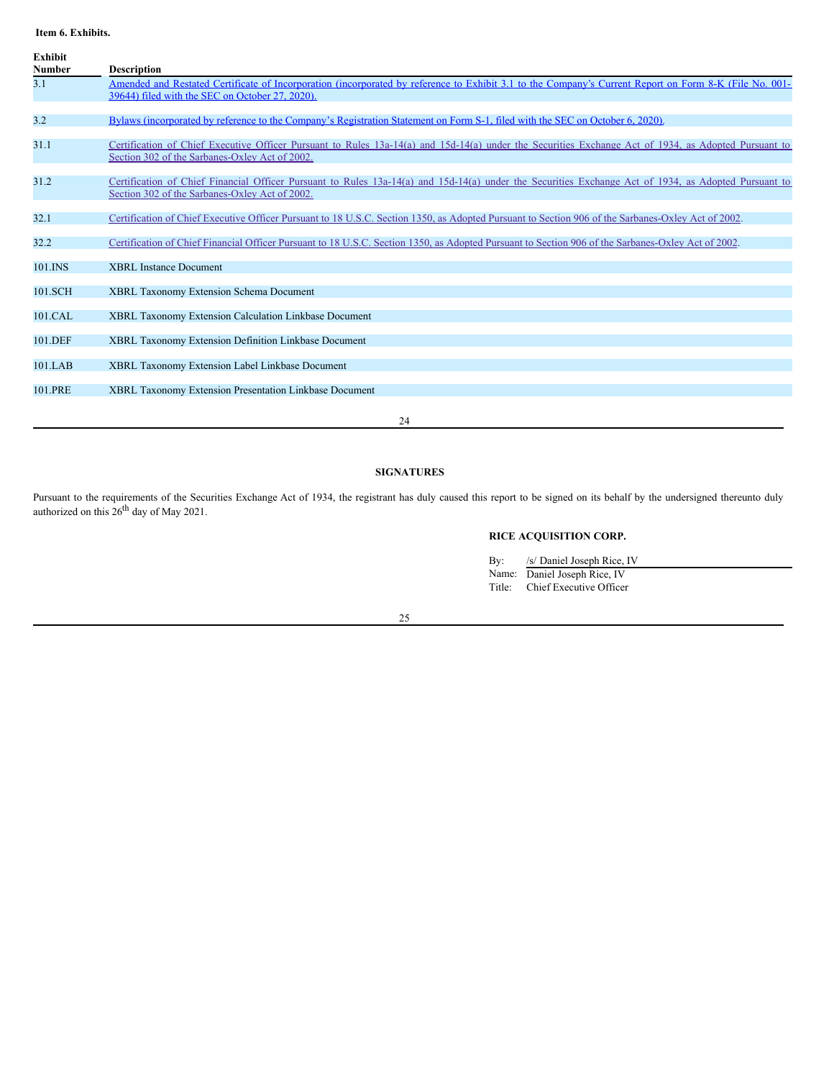<span id="page-17-0"></span>**Item 6. Exhibits.**

| <b>Exhibit</b><br><b>Number</b> | <b>Description</b>                                                                                                                                                                                        |
|---------------------------------|-----------------------------------------------------------------------------------------------------------------------------------------------------------------------------------------------------------|
| 3.1                             | Amended and Restated Certificate of Incorporation (incorporated by reference to Exhibit 3.1 to the Company's Current Report on Form 8-K (File No. 001-<br>39644) filed with the SEC on October 27, 2020). |
| 3.2                             | Bylaws (incorporated by reference to the Company's Registration Statement on Form S-1, filed with the SEC on October 6, 2020).                                                                            |
| 31.1                            | Certification of Chief Executive Officer Pursuant to Rules 13a-14(a) and 15d-14(a) under the Securities Exchange Act of 1934, as Adopted Pursuant to<br>Section 302 of the Sarbanes-Oxley Act of 2002.    |
| 31.2                            | Certification of Chief Financial Officer Pursuant to Rules 13a-14(a) and 15d-14(a) under the Securities Exchange Act of 1934, as Adopted Pursuant to<br>Section 302 of the Sarbanes-Oxley Act of 2002.    |
| 32.1                            | Certification of Chief Executive Officer Pursuant to 18 U.S.C. Section 1350, as Adopted Pursuant to Section 906 of the Sarbanes-Oxley Act of 2002.                                                        |
| 32.2                            | Certification of Chief Financial Officer Pursuant to 18 U.S.C. Section 1350, as Adopted Pursuant to Section 906 of the Sarbanes-Oxley Act of 2002.                                                        |
| 101.INS                         | <b>XBRL</b> Instance Document                                                                                                                                                                             |
| 101.SCH                         | XBRL Taxonomy Extension Schema Document                                                                                                                                                                   |
| 101.CAL                         | XBRL Taxonomy Extension Calculation Linkbase Document                                                                                                                                                     |
| 101.DEF                         | XBRL Taxonomy Extension Definition Linkbase Document                                                                                                                                                      |
| 101.LAB                         | XBRL Taxonomy Extension Label Linkbase Document                                                                                                                                                           |
| 101.PRE                         | XBRL Taxonomy Extension Presentation Linkbase Document                                                                                                                                                    |

24

# <span id="page-17-1"></span>**SIGNATURES**

Pursuant to the requirements of the Securities Exchange Act of 1934, the registrant has duly caused this report to be signed on its behalf by the undersigned thereunto duly authorized on this  $26^{th}$  day of May 2021.

# **RICE ACQUISITION CORP.**

By: /s/ Daniel Joseph Rice, IV Name: Daniel Joseph Rice, IV Title: Chief Executive Officer

25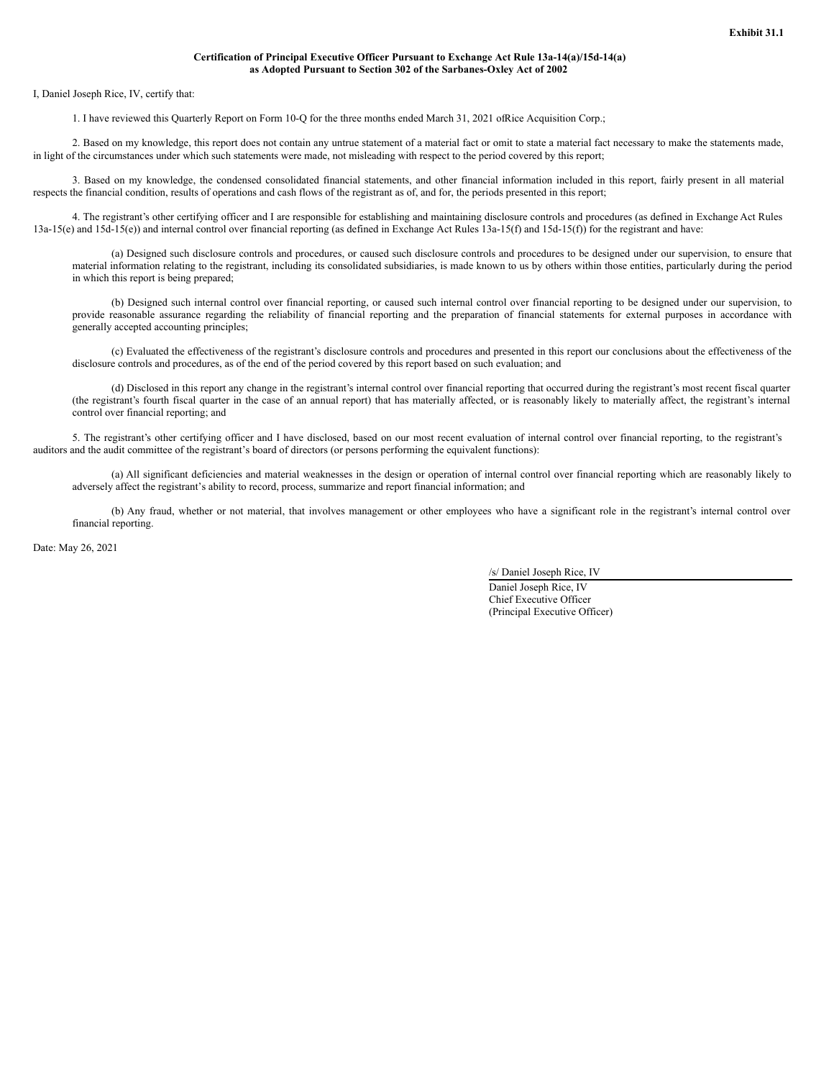## **Certification of Principal Executive Officer Pursuant to Exchange Act Rule 13a-14(a)/15d-14(a) as Adopted Pursuant to Section 302 of the Sarbanes-Oxley Act of 2002**

<span id="page-18-0"></span>I, Daniel Joseph Rice, IV, certify that:

1. I have reviewed this Quarterly Report on Form 10-Q for the three months ended March 31, 2021 ofRice Acquisition Corp.;

2. Based on my knowledge, this report does not contain any untrue statement of a material fact or omit to state a material fact necessary to make the statements made, in light of the circumstances under which such statements were made, not misleading with respect to the period covered by this report;

3. Based on my knowledge, the condensed consolidated financial statements, and other financial information included in this report, fairly present in all material respects the financial condition, results of operations and cash flows of the registrant as of, and for, the periods presented in this report;

4. The registrant's other certifying officer and I are responsible for establishing and maintaining disclosure controls and procedures (as defined in Exchange Act Rules 13a-15(e) and 15d-15(e)) and internal control over financial reporting (as defined in Exchange Act Rules 13a-15(f) and 15d-15(f)) for the registrant and have:

(a) Designed such disclosure controls and procedures, or caused such disclosure controls and procedures to be designed under our supervision, to ensure that material information relating to the registrant, including its consolidated subsidiaries, is made known to us by others within those entities, particularly during the period in which this report is being prepared;

(b) Designed such internal control over financial reporting, or caused such internal control over financial reporting to be designed under our supervision, to provide reasonable assurance regarding the reliability of financial reporting and the preparation of financial statements for external purposes in accordance with generally accepted accounting principles;

(c) Evaluated the effectiveness of the registrant's disclosure controls and procedures and presented in this report our conclusions about the effectiveness of the disclosure controls and procedures, as of the end of the period covered by this report based on such evaluation; and

(d) Disclosed in this report any change in the registrant's internal control over financial reporting that occurred during the registrant's most recent fiscal quarter (the registrant's fourth fiscal quarter in the case of an annual report) that has materially affected, or is reasonably likely to materially affect, the registrant's internal control over financial reporting; and

5. The registrant's other certifying officer and I have disclosed, based on our most recent evaluation of internal control over financial reporting, to the registrant's auditors and the audit committee of the registrant's board of directors (or persons performing the equivalent functions):

(a) All significant deficiencies and material weaknesses in the design or operation of internal control over financial reporting which are reasonably likely to adversely affect the registrant's ability to record, process, summarize and report financial information; and

(b) Any fraud, whether or not material, that involves management or other employees who have a significant role in the registrant's internal control over financial reporting.

Date: May 26, 2021

/s/ Daniel Joseph Rice, IV

Daniel Joseph Rice, IV Chief Executive Officer (Principal Executive Officer)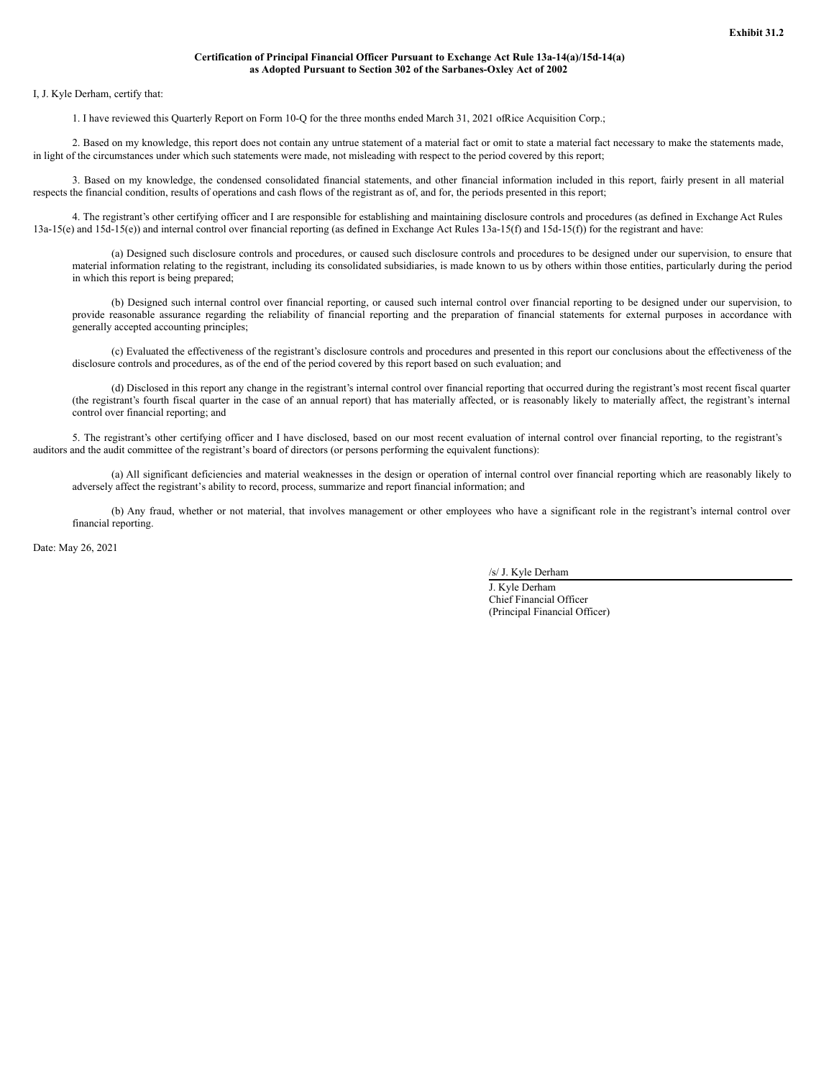## **Certification of Principal Financial Officer Pursuant to Exchange Act Rule 13a-14(a)/15d-14(a) as Adopted Pursuant to Section 302 of the Sarbanes-Oxley Act of 2002**

<span id="page-19-0"></span>I, J. Kyle Derham, certify that:

1. I have reviewed this Quarterly Report on Form 10-Q for the three months ended March 31, 2021 ofRice Acquisition Corp.;

2. Based on my knowledge, this report does not contain any untrue statement of a material fact or omit to state a material fact necessary to make the statements made, in light of the circumstances under which such statements were made, not misleading with respect to the period covered by this report;

3. Based on my knowledge, the condensed consolidated financial statements, and other financial information included in this report, fairly present in all material respects the financial condition, results of operations and cash flows of the registrant as of, and for, the periods presented in this report;

4. The registrant's other certifying officer and I are responsible for establishing and maintaining disclosure controls and procedures (as defined in Exchange Act Rules 13a-15(e) and 15d-15(e)) and internal control over financial reporting (as defined in Exchange Act Rules 13a-15(f) and 15d-15(f)) for the registrant and have:

(a) Designed such disclosure controls and procedures, or caused such disclosure controls and procedures to be designed under our supervision, to ensure that material information relating to the registrant, including its consolidated subsidiaries, is made known to us by others within those entities, particularly during the period in which this report is being prepared;

(b) Designed such internal control over financial reporting, or caused such internal control over financial reporting to be designed under our supervision, to provide reasonable assurance regarding the reliability of financial reporting and the preparation of financial statements for external purposes in accordance with generally accepted accounting principles;

(c) Evaluated the effectiveness of the registrant's disclosure controls and procedures and presented in this report our conclusions about the effectiveness of the disclosure controls and procedures, as of the end of the period covered by this report based on such evaluation; and

(d) Disclosed in this report any change in the registrant's internal control over financial reporting that occurred during the registrant's most recent fiscal quarter (the registrant's fourth fiscal quarter in the case of an annual report) that has materially affected, or is reasonably likely to materially affect, the registrant's internal control over financial reporting; and

5. The registrant's other certifying officer and I have disclosed, based on our most recent evaluation of internal control over financial reporting, to the registrant's auditors and the audit committee of the registrant's board of directors (or persons performing the equivalent functions):

(a) All significant deficiencies and material weaknesses in the design or operation of internal control over financial reporting which are reasonably likely to adversely affect the registrant's ability to record, process, summarize and report financial information; and

(b) Any fraud, whether or not material, that involves management or other employees who have a significant role in the registrant's internal control over financial reporting.

Date: May 26, 2021

/s/ J. Kyle Derham

J. Kyle Derham Chief Financial Officer (Principal Financial Officer)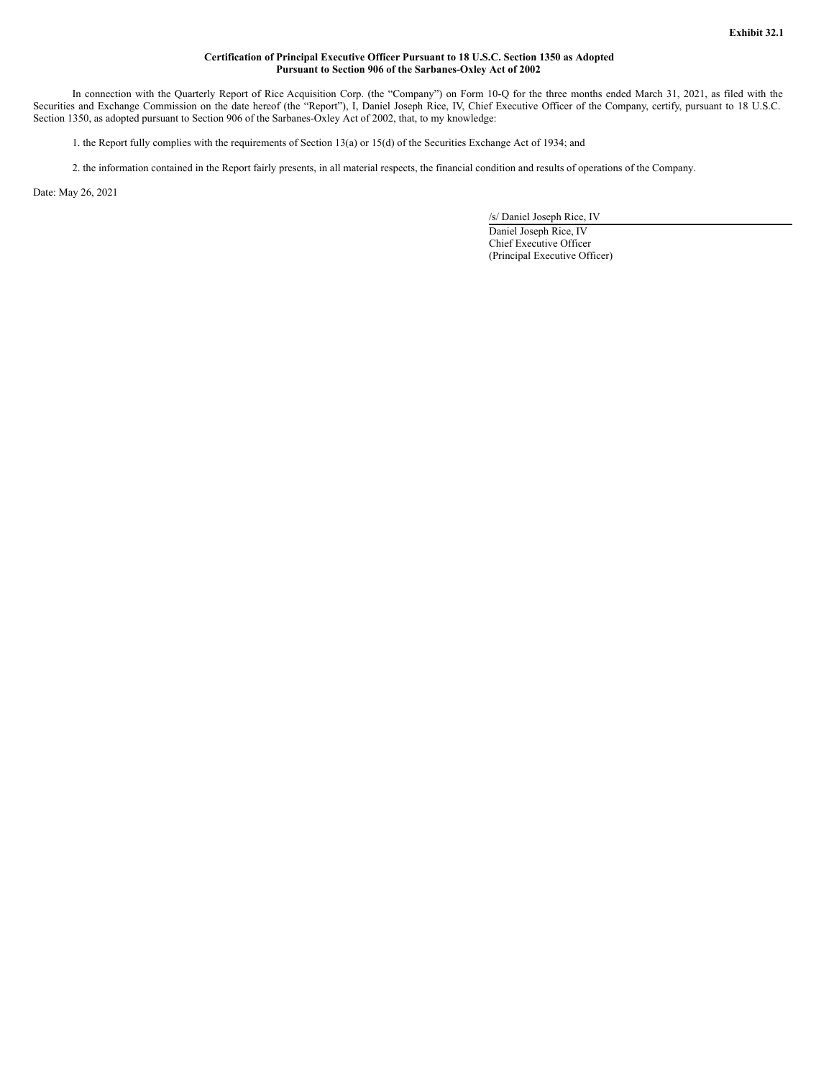### **Certification of Principal Executive Officer Pursuant to 18 U.S.C. Section 1350 as Adopted Pursuant to Section 906 of the Sarbanes-Oxley Act of 2002**

<span id="page-20-0"></span>In connection with the Quarterly Report of Rice Acquisition Corp. (the "Company") on Form 10-Q for the three months ended March 31, 2021, as filed with the Securities and Exchange Commission on the date hereof (the "Report"), I, Daniel Joseph Rice, IV, Chief Executive Officer of the Company, certify, pursuant to 18 U.S.C. Section 1350, as adopted pursuant to Section 906 of the Sarbanes-Oxley Act of 2002, that, to my knowledge:

1. the Report fully complies with the requirements of Section 13(a) or 15(d) of the Securities Exchange Act of 1934; and

2. the information contained in the Report fairly presents, in all material respects, the financial condition and results of operations of the Company.

Date: May 26, 2021

/s/ Daniel Joseph Rice, IV

Daniel Joseph Rice, IV Chief Executive Officer (Principal Executive Officer)